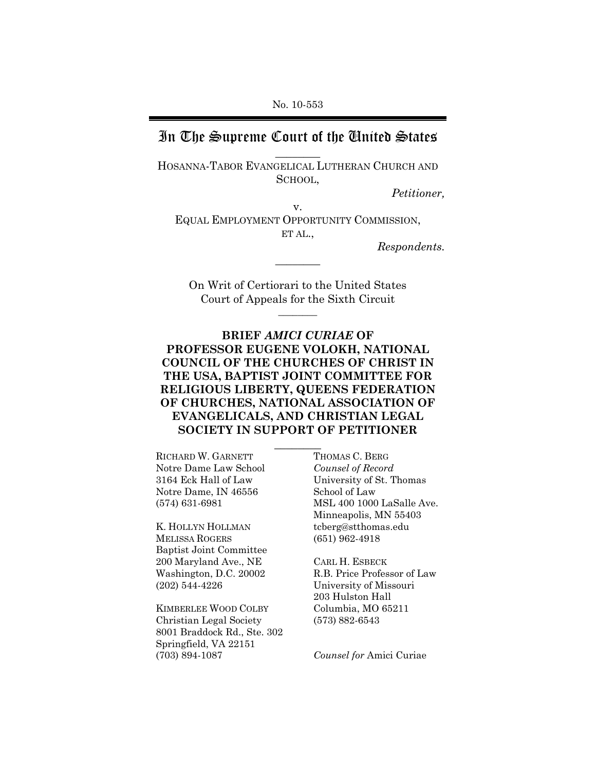No. 10-553

## In The Supreme Court of the United States  $\overline{\phantom{a}}$

HOSANNA-TABOR EVANGELICAL LUTHERAN CHURCH AND SCHOOL,

*Petitioner,*

v. EQUAL EMPLOYMENT OPPORTUNITY COMMISSION, ET AL.,

*Respondents.* 

On Writ of Certiorari to the United States Court of Appeals for the Sixth Circuit  $\overline{\phantom{a}}$ 

 $\overline{\phantom{a}}$ 

### **BRIEF** *AMICI CURIAE* **OF PROFESSOR EUGENE VOLOKH, NATIONAL COUNCIL OF THE CHURCHES OF CHRIST IN THE USA, BAPTIST JOINT COMMITTEE FOR RELIGIOUS LIBERTY, QUEENS FEDERATION OF CHURCHES, NATIONAL ASSOCIATION OF EVANGELICALS, AND CHRISTIAN LEGAL SOCIETY IN SUPPORT OF PETITIONER**

 $\overline{\phantom{a}}$ 

RICHARD W. GARNETT Notre Dame Law School 3164 Eck Hall of Law Notre Dame, IN 46556 (574) 631-6981

K. HOLLYN HOLLMAN MELISSA ROGERS Baptist Joint Committee 200 Maryland Ave., NE Washington, D.C. 20002 (202) 544-4226

KIMBERLEE WOOD COLBY Christian Legal Society 8001 Braddock Rd., Ste. 302 Springfield, VA 22151 (703) 894-1087

THOMAS C. BERG *Counsel of Record*  University of St. Thomas School of Law MSL 400 1000 LaSalle Ave. Minneapolis, MN 55403 tcberg@stthomas.edu (651) 962-4918

CARL H. ESBECK R.B. Price Professor of Law University of Missouri 203 Hulston Hall Columbia, MO 65211 (573) 882-6543

*Counsel for* Amici Curiae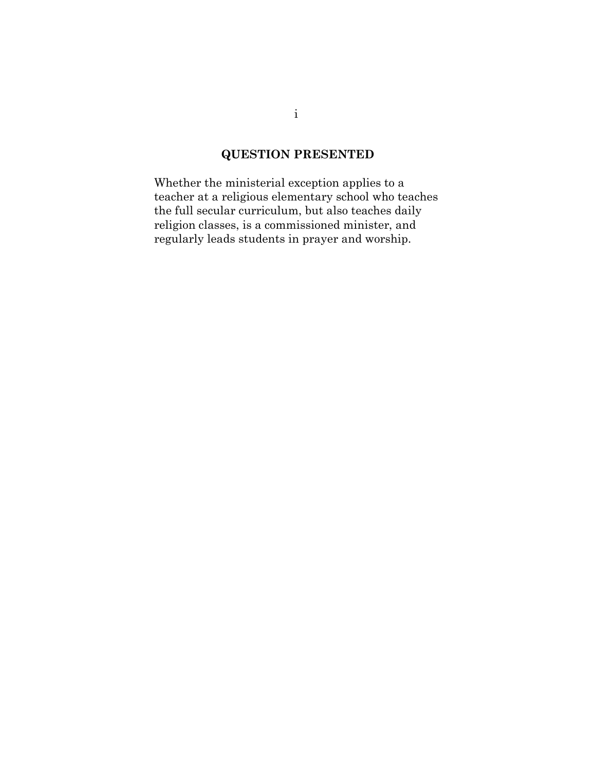## **QUESTION PRESENTED**

Whether the ministerial exception applies to a teacher at a religious elementary school who teaches the full secular curriculum, but also teaches daily religion classes, is a commissioned minister, and regularly leads students in prayer and worship.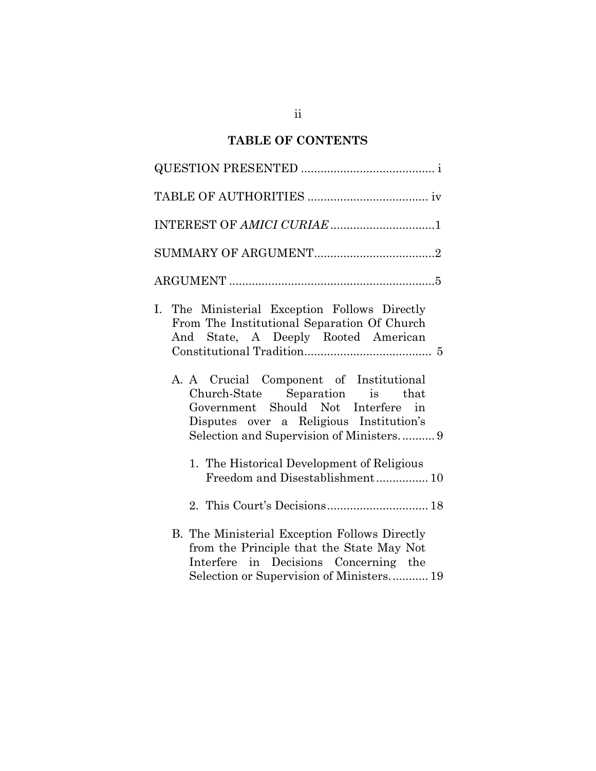# **TABLE OF CONTENTS**

| INTEREST OF AMICI CURIAE 1                                                                                                                                                                               |
|----------------------------------------------------------------------------------------------------------------------------------------------------------------------------------------------------------|
|                                                                                                                                                                                                          |
|                                                                                                                                                                                                          |
| I. The Ministerial Exception Follows Directly<br>From The Institutional Separation Of Church<br>And State, A Deeply Rooted American                                                                      |
| A. A. Crucial Component of Institutional<br>Church-State Separation is that<br>Government Should Not Interfere in<br>Disputes over a Religious Institution's<br>Selection and Supervision of Ministers 9 |
| 1. The Historical Development of Religious<br>Freedom and Disestablishment 10                                                                                                                            |
|                                                                                                                                                                                                          |
| B. The Ministerial Exception Follows Directly<br>from the Principle that the State May Not<br>Interfere in Decisions Concerning the<br>Selection or Supervision of Ministers 19                          |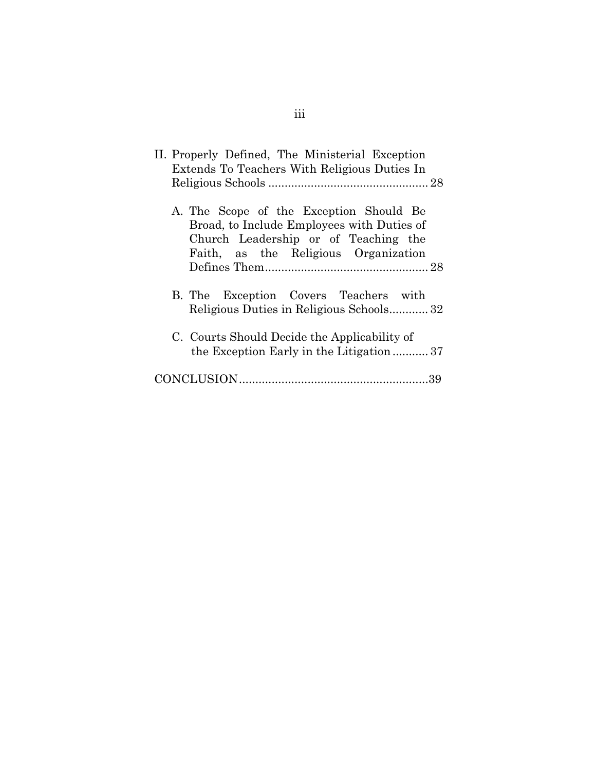| II. Properly Defined, The Ministerial Exception<br>Extends To Teachers With Religious Duties In                                                                       |
|-----------------------------------------------------------------------------------------------------------------------------------------------------------------------|
| A. The Scope of the Exception Should Be<br>Broad, to Include Employees with Duties of<br>Church Leadership or of Teaching the<br>Faith, as the Religious Organization |
| B. The Exception Covers Teachers with<br>Religious Duties in Religious Schools32                                                                                      |
| C. Courts Should Decide the Applicability of<br>the Exception Early in the Litigation37                                                                               |
|                                                                                                                                                                       |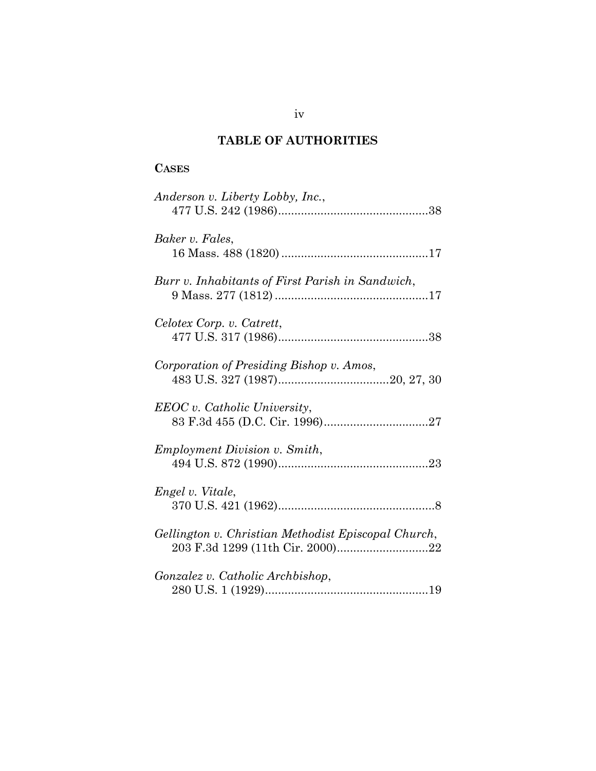## **TABLE OF AUTHORITIES**

## **CASES**

| Anderson v. Liberty Lobby, Inc.,                    |
|-----------------------------------------------------|
| Baker v. Fales,                                     |
| Burr v. Inhabitants of First Parish in Sandwich,    |
| Celotex Corp. v. Catrett,                           |
| Corporation of Presiding Bishop v. Amos,            |
| <b>EEOC</b> v. Catholic University,                 |
| <i>Employment Division v. Smith,</i>                |
| Engel v. Vitale,                                    |
| Gellington v. Christian Methodist Episcopal Church, |
| Gonzalez v. Catholic Archbishop,                    |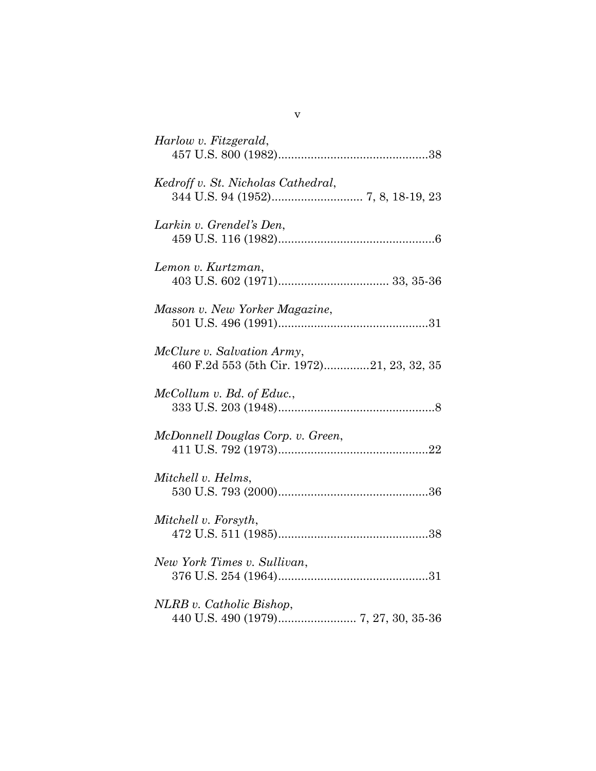| Harlow v. Fitzgerald,                                                           |
|---------------------------------------------------------------------------------|
| Kedroff v. St. Nicholas Cathedral,                                              |
| Larkin v. Grendel's Den,                                                        |
| Lemon v. Kurtzman,                                                              |
| Masson v. New Yorker Magazine,                                                  |
| <i>McClure v. Salvation Army,</i><br>460 F.2d 553 (5th Cir. 1972)21, 23, 32, 35 |
| McCollum v. Bd. of Educ.,                                                       |
| McDonnell Douglas Corp. v. Green,                                               |
| Mitchell v. Helms,                                                              |
| Mitchell v. Forsyth,                                                            |
| New York Times v. Sullivan,                                                     |
| NLRB v. Catholic Bishop,                                                        |

v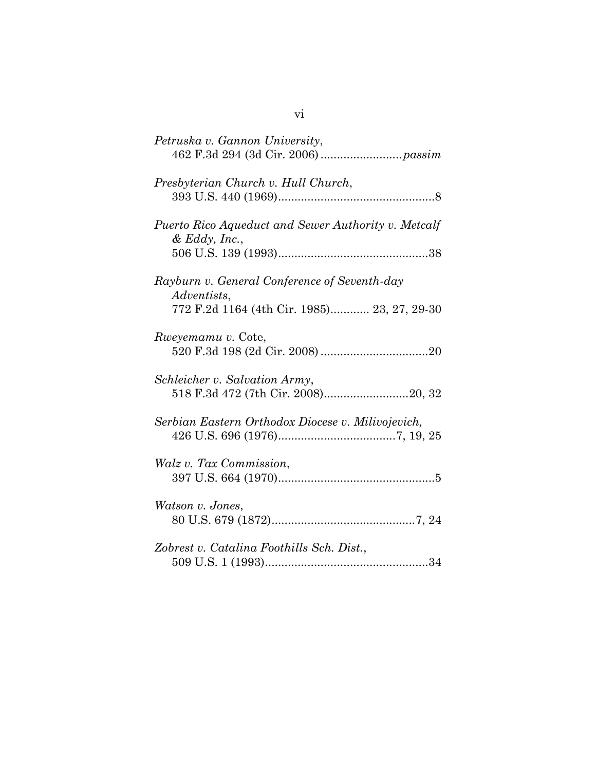| Petruska v. Gannon University,                                                                                    |
|-------------------------------------------------------------------------------------------------------------------|
| Presbyterian Church v. Hull Church,                                                                               |
| Puerto Rico Aqueduct and Sewer Authority v. Metcalf<br>& Eddy, Inc.,                                              |
| Rayburn v. General Conference of Seventh-day<br><i>Adventists,</i><br>772 F.2d 1164 (4th Cir. 1985) 23, 27, 29-30 |
| <i>Rweyemamu v.</i> Cote,                                                                                         |
| Schleicher v. Salvation Army,<br>518 F.3d 472 (7th Cir. 2008)20, 32                                               |
| Serbian Eastern Orthodox Diocese v. Milivojevich,                                                                 |
| Walz v. Tax Commission,                                                                                           |
| Watson v. Jones,                                                                                                  |
| Zobrest v. Catalina Foothills Sch. Dist.,                                                                         |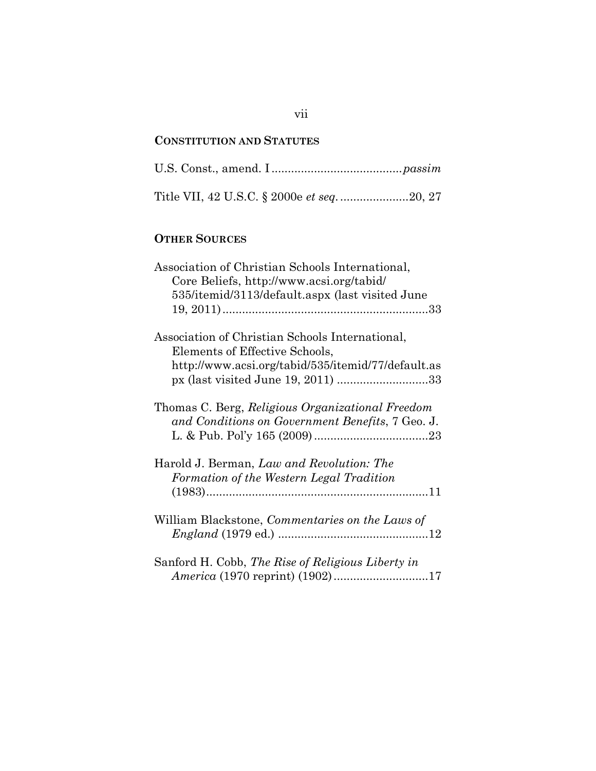## **CONSTITUTION AND STATUTES**

## **OTHER SOURCES**

| Association of Christian Schools International,<br>Core Beliefs, http://www.acsi.org/tabid/ |
|---------------------------------------------------------------------------------------------|
| 535/itemid/3113/default.aspx (last visited June                                             |
|                                                                                             |
| Association of Christian Schools International,                                             |
| Elements of Effective Schools,                                                              |
| http://www.acsi.org/tabid/535/itemid/77/default.as                                          |
| px (last visited June 19, 2011) 33                                                          |
| Thomas C. Berg, Religious Organizational Freedom                                            |
| and Conditions on Government Benefits, 7 Geo. J.                                            |
|                                                                                             |
| Harold J. Berman, Law and Revolution: The                                                   |
| Formation of the Western Legal Tradition                                                    |
|                                                                                             |
| William Blackstone, Commentaries on the Laws of                                             |
|                                                                                             |
| Sanford H. Cobb, <i>The Rise of Religious Liberty in</i>                                    |
| America (1970 reprint) (1902)17                                                             |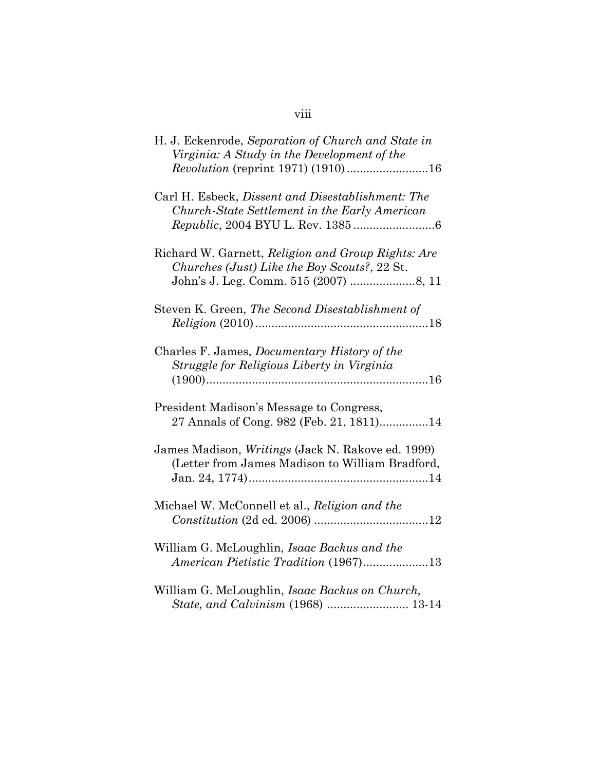| H. J. Eckenrode, Separation of Church and State in<br>Virginia: A Study in the Development of the<br>Revolution (reprint 1971) (1910)16 |
|-----------------------------------------------------------------------------------------------------------------------------------------|
| Carl H. Esbeck, Dissent and Disestablishment: The<br>Church-State Settlement in the Early American                                      |
| Richard W. Garnett, Religion and Group Rights: Are<br>Churches (Just) Like the Boy Scouts?, 22 St.                                      |
| Steven K. Green, The Second Disestablishment of                                                                                         |
| Charles F. James, <i>Documentary History of the</i><br>Struggle for Religious Liberty in Virginia                                       |
| President Madison's Message to Congress,<br>27 Annals of Cong. 982 (Feb. 21, 1811)14                                                    |
| James Madison, Writings (Jack N. Rakove ed. 1999)<br>(Letter from James Madison to William Bradford,                                    |
| Michael W. McConnell et al., Religion and the                                                                                           |
| William G. McLoughlin, Isaac Backus and the<br>American Pietistic Tradition (1967)13                                                    |
| William G. McLoughlin, Isaac Backus on Church,                                                                                          |

|  | × |  |
|--|---|--|
|  |   |  |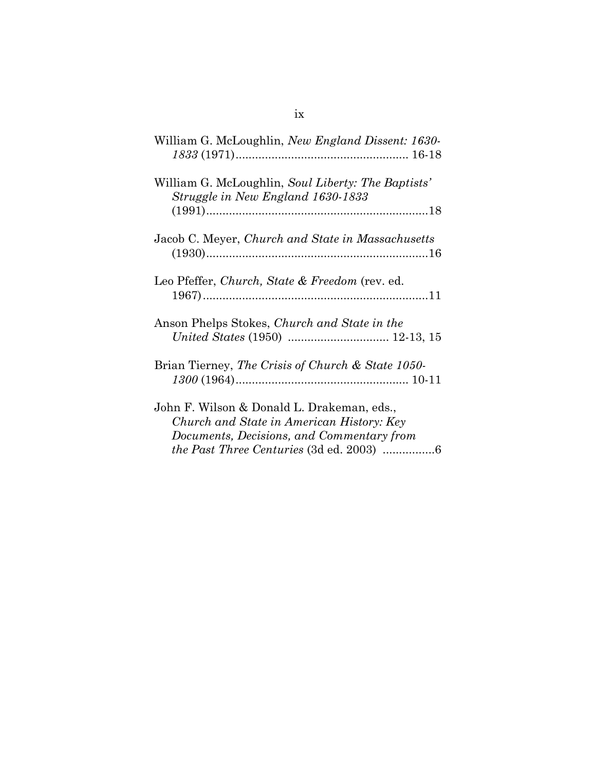| William G. McLoughlin, New England Dissent: 1630-                                                                                                                                       |
|-----------------------------------------------------------------------------------------------------------------------------------------------------------------------------------------|
| William G. McLoughlin, Soul Liberty: The Baptists'<br>Struggle in New England 1630-1833                                                                                                 |
| Jacob C. Meyer, Church and State in Massachusetts                                                                                                                                       |
| Leo Pfeffer, Church, State & Freedom (rev. ed.                                                                                                                                          |
| Anson Phelps Stokes, Church and State in the                                                                                                                                            |
| Brian Tierney, The Crisis of Church & State 1050-                                                                                                                                       |
| John F. Wilson & Donald L. Drakeman, eds.,<br>Church and State in American History: Key<br>Documents, Decisions, and Commentary from<br><i>the Past Three Centuries</i> (3d ed. 2003) 6 |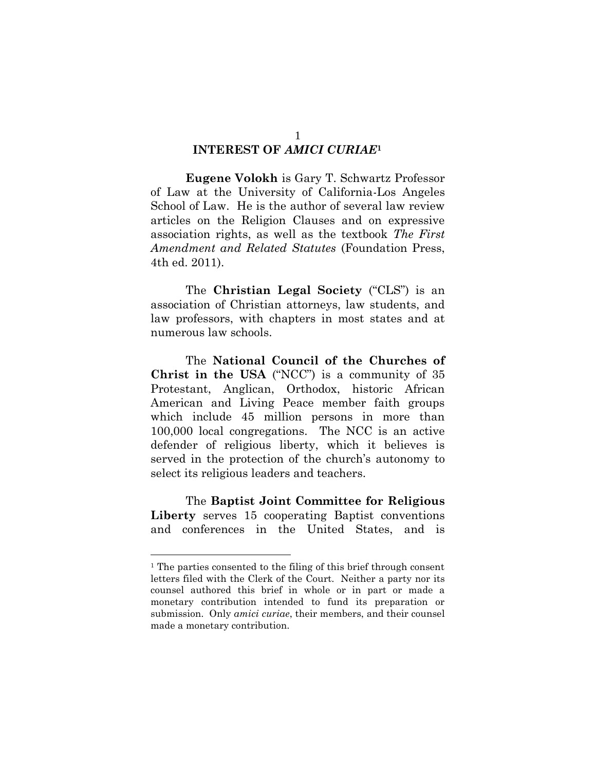## **INTEREST OF** *AMICI CURIAE***<sup>1</sup>**

**Eugene Volokh** is Gary T. Schwartz Professor of Law at the University of California-Los Angeles School of Law. He is the author of several law review articles on the Religion Clauses and on expressive association rights, as well as the textbook *The First Amendment and Related Statutes* (Foundation Press, 4th ed. 2011).

The **Christian Legal Society** ("CLS") is an association of Christian attorneys, law students, and law professors, with chapters in most states and at numerous law schools.

The **National Council of the Churches of Christ in the USA** ("NCC") is a community of  $35$ Protestant, Anglican, Orthodox, historic African American and Living Peace member faith groups which include 45 million persons in more than 100,000 local congregations. The NCC is an active defender of religious liberty, which it believes is served in the protection of the church's autonomy to select its religious leaders and teachers.

The **Baptist Joint Committee for Religious Liberty** serves 15 cooperating Baptist conventions and conferences in the United States, and is

 $\overline{a}$ 

<sup>1</sup> The parties consented to the filing of this brief through consent letters filed with the Clerk of the Court. Neither a party nor its counsel authored this brief in whole or in part or made a monetary contribution intended to fund its preparation or submission. Only *amici curiae*, their members, and their counsel made a monetary contribution.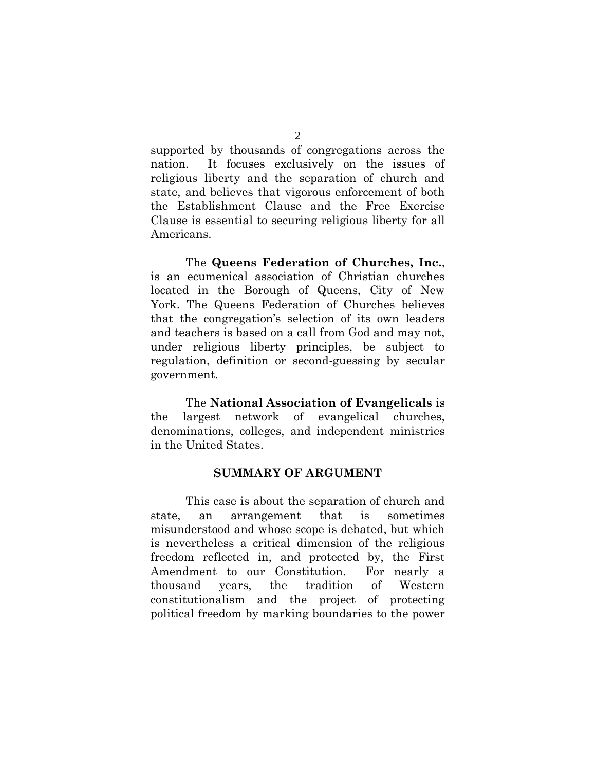supported by thousands of congregations across the nation. It focuses exclusively on the issues of religious liberty and the separation of church and state, and believes that vigorous enforcement of both the Establishment Clause and the Free Exercise Clause is essential to securing religious liberty for all Americans.

The **Queens Federation of Churches, Inc.**, is an ecumenical association of Christian churches located in the Borough of Queens, City of New York. The Queens Federation of Churches believes that the congregation's selection of its own leaders and teachers is based on a call from God and may not, under religious liberty principles, be subject to regulation, definition or second-guessing by secular government.

The **National Association of Evangelicals** is the largest network of evangelical churches, denominations, colleges, and independent ministries in the United States.

#### **SUMMARY OF ARGUMENT**

This case is about the separation of church and state, an arrangement that is sometimes misunderstood and whose scope is debated, but which is nevertheless a critical dimension of the religious freedom reflected in, and protected by, the First Amendment to our Constitution. For nearly a thousand years, the tradition of Western constitutionalism and the project of protecting political freedom by marking boundaries to the power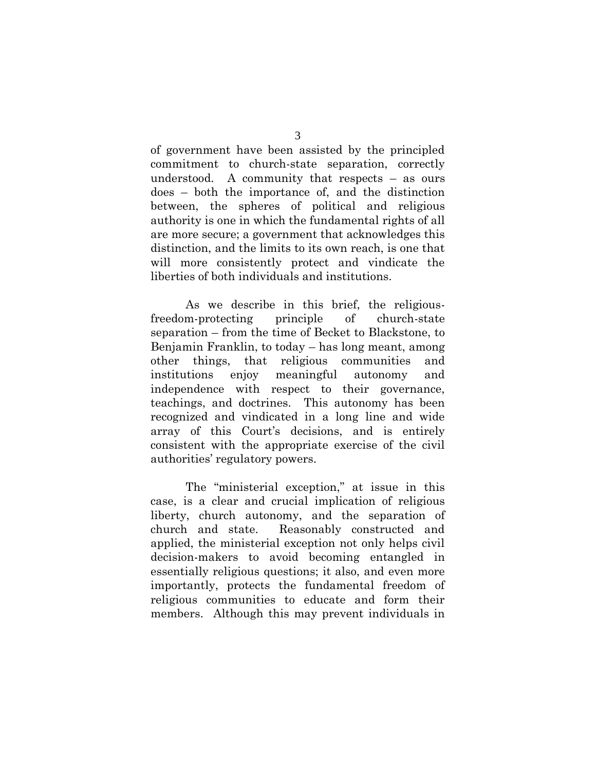of government have been assisted by the principled commitment to church-state separation, correctly understood. A community that respects – as ours does – both the importance of, and the distinction between, the spheres of political and religious authority is one in which the fundamental rights of all are more secure; a government that acknowledges this distinction, and the limits to its own reach, is one that will more consistently protect and vindicate the liberties of both individuals and institutions.

As we describe in this brief, the religiousfreedom-protecting principle of church-state separation – from the time of Becket to Blackstone, to Benjamin Franklin, to today – has long meant, among other things, that religious communities and institutions enjoy meaningful autonomy and independence with respect to their governance, teachings, and doctrines. This autonomy has been recognized and vindicated in a long line and wide array of this Court's decisions, and is entirely consistent with the appropriate exercise of the civil authorities' regulatory powers.

The "ministerial exception," at issue in this case, is a clear and crucial implication of religious liberty, church autonomy, and the separation of church and state. Reasonably constructed and applied, the ministerial exception not only helps civil decision-makers to avoid becoming entangled in essentially religious questions; it also, and even more importantly, protects the fundamental freedom of religious communities to educate and form their members. Although this may prevent individuals in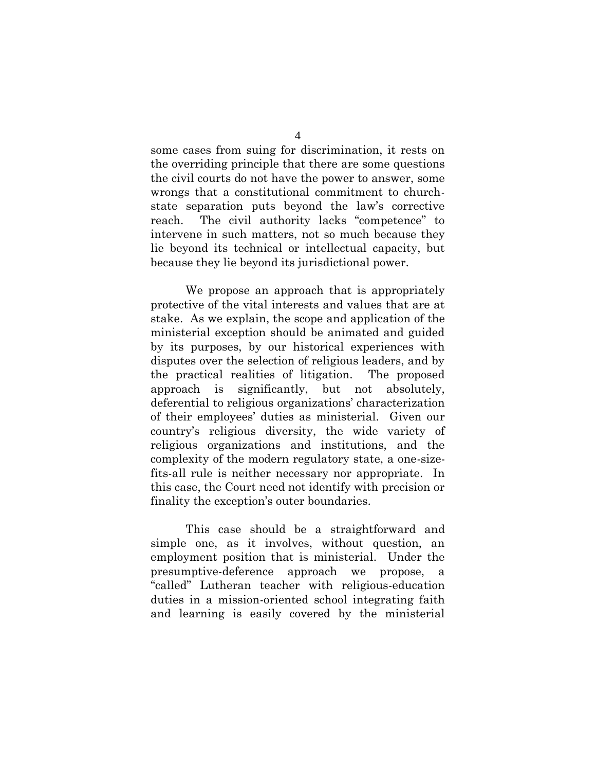some cases from suing for discrimination, it rests on the overriding principle that there are some questions the civil courts do not have the power to answer, some wrongs that a constitutional commitment to churchstate separation puts beyond the law's corrective reach. The civil authority lacks "competence" to intervene in such matters, not so much because they lie beyond its technical or intellectual capacity, but because they lie beyond its jurisdictional power.

We propose an approach that is appropriately protective of the vital interests and values that are at stake. As we explain, the scope and application of the ministerial exception should be animated and guided by its purposes, by our historical experiences with disputes over the selection of religious leaders, and by the practical realities of litigation. The proposed approach is significantly, but not absolutely, deferential to religious organizations' characterization of their employees' duties as ministerial. Given our country's religious diversity, the wide variety of religious organizations and institutions, and the complexity of the modern regulatory state, a one-sizefits-all rule is neither necessary nor appropriate. In this case, the Court need not identify with precision or finality the exception's outer boundaries.

This case should be a straightforward and simple one, as it involves, without question, an employment position that is ministerial. Under the presumptive-deference approach we propose, a ―called‖ Lutheran teacher with religious-education duties in a mission-oriented school integrating faith and learning is easily covered by the ministerial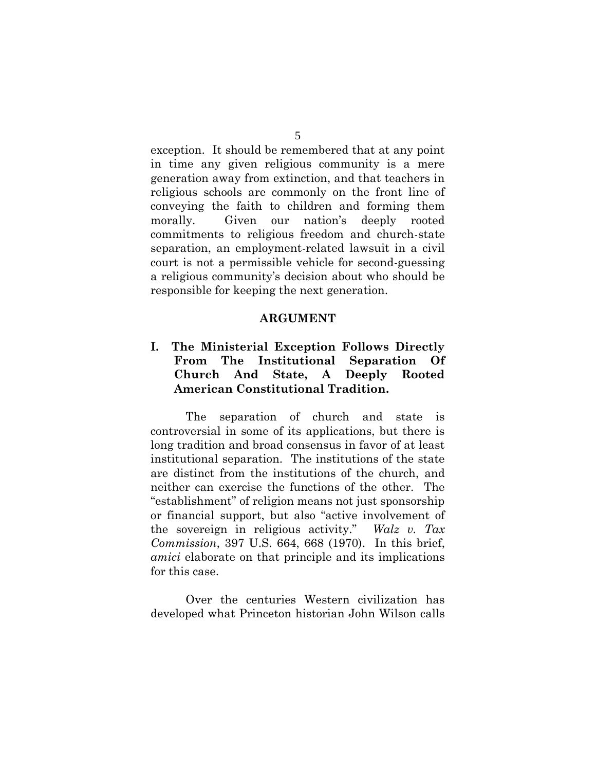exception. It should be remembered that at any point in time any given religious community is a mere generation away from extinction, and that teachers in religious schools are commonly on the front line of

conveying the faith to children and forming them morally. Given our nation's deeply rooted commitments to religious freedom and church-state separation, an employment-related lawsuit in a civil court is not a permissible vehicle for second-guessing a religious community's decision about who should be responsible for keeping the next generation.

#### **ARGUMENT**

## **I. The Ministerial Exception Follows Directly From The Institutional Separation Of Church And State, A Deeply Rooted American Constitutional Tradition.**

The separation of church and state is controversial in some of its applications, but there is long tradition and broad consensus in favor of at least institutional separation. The institutions of the state are distinct from the institutions of the church, and neither can exercise the functions of the other. The ―establishment‖ of religion means not just sponsorship or financial support, but also "active involvement of the sovereign in religious activity.‖ *Walz v. Tax Commission*, 397 U.S. 664, 668 (1970). In this brief, *amici* elaborate on that principle and its implications for this case.

Over the centuries Western civilization has developed what Princeton historian John Wilson calls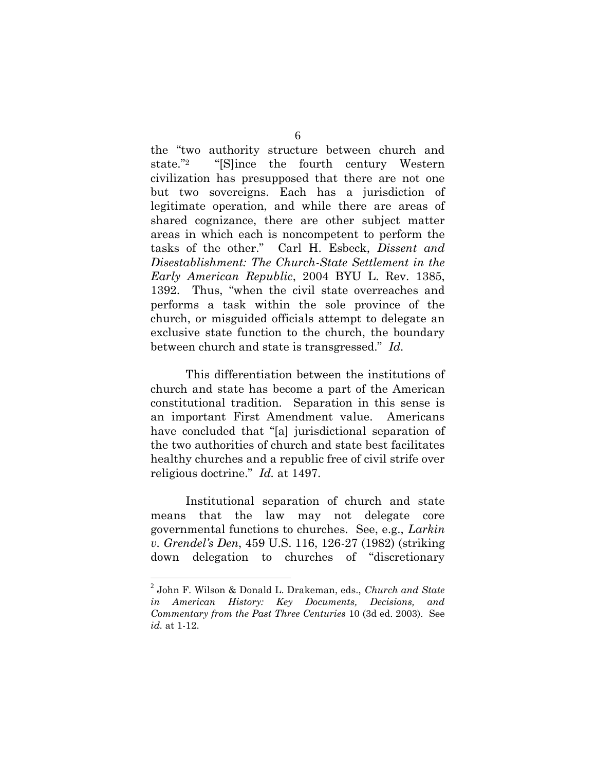the "two authority structure between church and state."<sup>2</sup> "Slince the fourth century Western civilization has presupposed that there are not one but two sovereigns. Each has a jurisdiction of legitimate operation, and while there are areas of shared cognizance, there are other subject matter areas in which each is noncompetent to perform the tasks of the other.‖ Carl H. Esbeck, *Dissent and Disestablishment: The Church-State Settlement in the Early American Republic*, 2004 BYU L. Rev. 1385, 1392. Thus, "when the civil state overreaches and performs a task within the sole province of the church, or misguided officials attempt to delegate an exclusive state function to the church, the boundary between church and state is transgressed." Id.

This differentiation between the institutions of church and state has become a part of the American constitutional tradition. Separation in this sense is an important First Amendment value. Americans have concluded that "[a] jurisdictional separation of the two authorities of church and state best facilitates healthy churches and a republic free of civil strife over religious doctrine." *Id.* at 1497.

Institutional separation of church and state means that the law may not delegate core governmental functions to churches. See, e.g., *Larkin v. Grendel's Den*, 459 U.S. 116, 126-27 (1982) (striking down delegation to churches of "discretionary"

 $\overline{a}$ 

<sup>2</sup> John F. Wilson & Donald L. Drakeman, eds., *Church and State in American History: Key Documents, Decisions, and Commentary from the Past Three Centuries* 10 (3d ed. 2003). See *id.* at 1-12.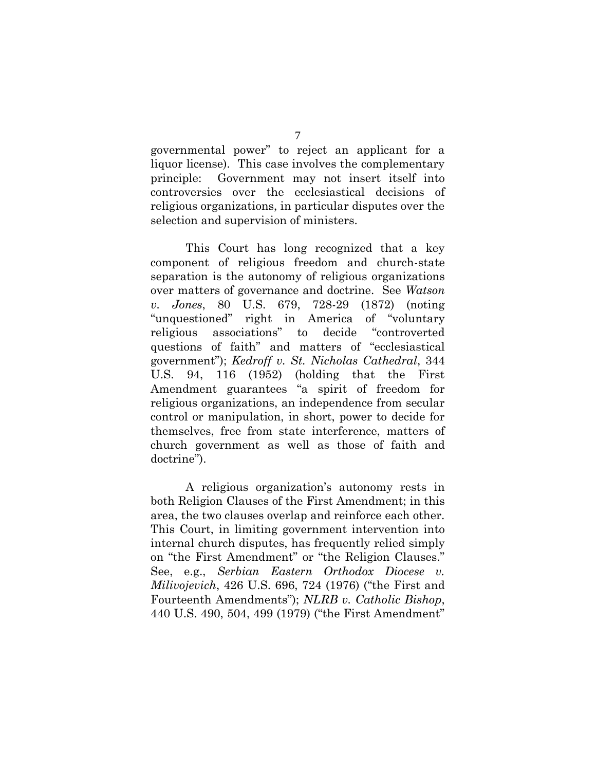governmental power" to reject an applicant for a liquor license). This case involves the complementary principle: Government may not insert itself into controversies over the ecclesiastical decisions of religious organizations, in particular disputes over the selection and supervision of ministers.

This Court has long recognized that a key component of religious freedom and church-state separation is the autonomy of religious organizations over matters of governance and doctrine. See *Watson v. Jones*, 80 U.S. 679, 728-29 (1872) (noting "unquestioned" right in America of "voluntary" religious associations" to decide "controverted" questions of faith" and matters of "ecclesiastical government‖); *Kedroff v. St. Nicholas Cathedral*, 344 U.S. 94, 116 (1952) (holding that the First Amendment guarantees "a spirit of freedom for religious organizations, an independence from secular control or manipulation, in short, power to decide for themselves, free from state interference, matters of church government as well as those of faith and doctrine").

A religious organization's autonomy rests in both Religion Clauses of the First Amendment; in this area, the two clauses overlap and reinforce each other. This Court, in limiting government intervention into internal church disputes, has frequently relied simply on "the First Amendment" or "the Religion Clauses." See, e.g., *Serbian Eastern Orthodox Diocese v. Milivojevich*, 426 U.S. 696, 724 (1976) ("the First and Fourteenth Amendments"); *NLRB v. Catholic Bishop*, 440 U.S. 490, 504, 499 (1979) ("the First Amendment"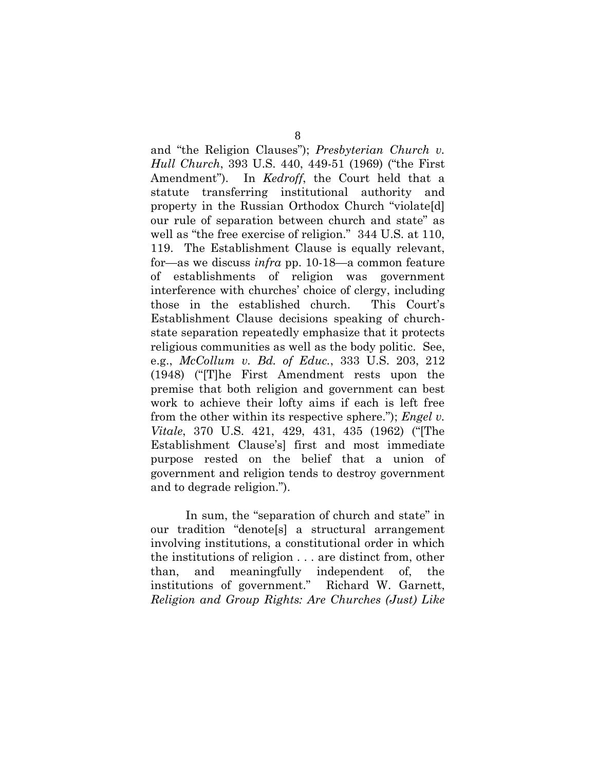and "the Religion Clauses"); *Presbyterian Church v. Hull Church*, 393 U.S. 440, 449-51 (1969) ("the First Amendment"). In *Kedroff*, the Court held that a statute transferring institutional authority and property in the Russian Orthodox Church "violate[d] our rule of separation between church and state" as well as "the free exercise of religion." 344 U.S. at 110, 119. The Establishment Clause is equally relevant, for—as we discuss *infra* pp. 10-18—a common feature of establishments of religion was government interference with churches' choice of clergy, including those in the established church. This Court's Establishment Clause decisions speaking of churchstate separation repeatedly emphasize that it protects religious communities as well as the body politic. See, e.g., *McCollum v. Bd. of Educ.*, 333 U.S. 203, 212  $(1948)$  ("The First Amendment rests upon the premise that both religion and government can best work to achieve their lofty aims if each is left free from the other within its respective sphere."); *Engel v. Vitale*, 370 U.S. 421, 429, 431, 435 (1962) ("The Establishment Clause's] first and most immediate purpose rested on the belief that a union of government and religion tends to destroy government and to degrade religion.").

In sum, the "separation of church and state" in our tradition "denote<sup>[s]</sup> a structural arrangement involving institutions, a constitutional order in which the institutions of religion . . . are distinct from, other than, and meaningfully independent of, the institutions of government." Richard W. Garnett, *Religion and Group Rights: Are Churches (Just) Like*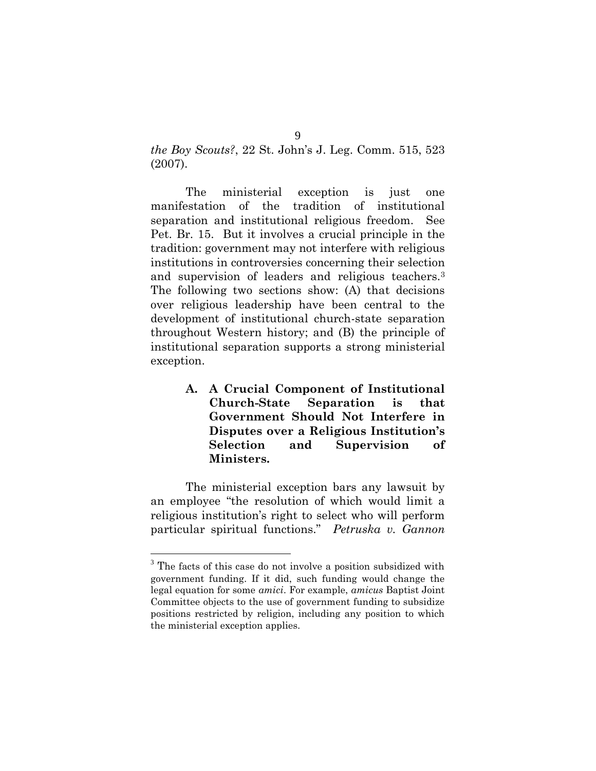*the Boy Scouts?*, 22 St. John's J. Leg. Comm. 515, 523 (2007).

The ministerial exception is just one manifestation of the tradition of institutional separation and institutional religious freedom. See Pet. Br. 15. But it involves a crucial principle in the tradition: government may not interfere with religious institutions in controversies concerning their selection and supervision of leaders and religious teachers.<sup>3</sup> The following two sections show: (A) that decisions over religious leadership have been central to the development of institutional church-state separation throughout Western history; and (B) the principle of institutional separation supports a strong ministerial exception.

> **A. A Crucial Component of Institutional Church-State Separation is that Government Should Not Interfere in Disputes over a Religious Institution's Selection and Supervision of Ministers.**

The ministerial exception bars any lawsuit by an employee "the resolution of which would limit a religious institution's right to select who will perform particular spiritual functions.‖ *Petruska v. Gannon* 

 $\overline{a}$ 

 $3$  The facts of this case do not involve a position subsidized with government funding. If it did, such funding would change the legal equation for some *amici*. For example, *amicus* Baptist Joint Committee objects to the use of government funding to subsidize positions restricted by religion, including any position to which the ministerial exception applies.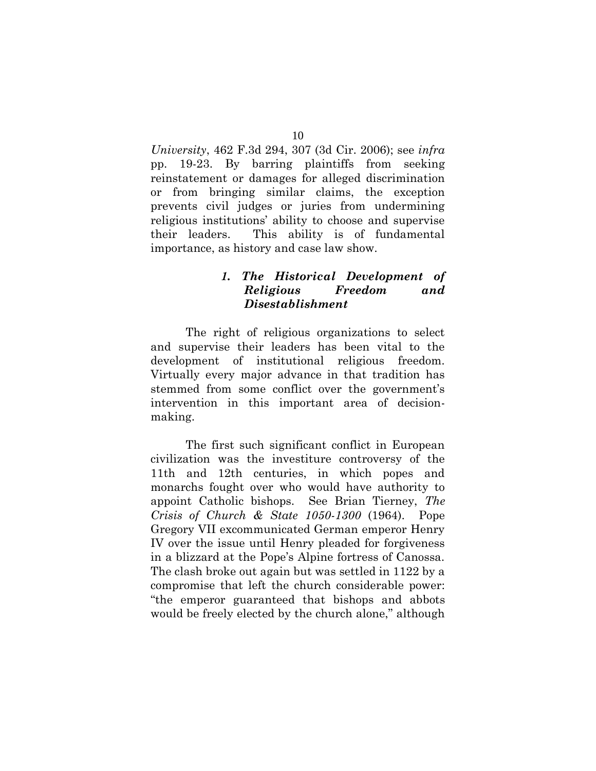*University*, 462 F.3d 294, 307 (3d Cir. 2006); see *infra* pp. 19-23. By barring plaintiffs from seeking reinstatement or damages for alleged discrimination or from bringing similar claims, the exception prevents civil judges or juries from undermining religious institutions' ability to choose and supervise their leaders. This ability is of fundamental importance, as history and case law show.

### *1. The Historical Development of Religious Freedom and Disestablishment*

The right of religious organizations to select and supervise their leaders has been vital to the development of institutional religious freedom. Virtually every major advance in that tradition has stemmed from some conflict over the government's intervention in this important area of decisionmaking.

The first such significant conflict in European civilization was the investiture controversy of the 11th and 12th centuries, in which popes and monarchs fought over who would have authority to appoint Catholic bishops. See Brian Tierney, *The Crisis of Church & State 1050-1300* (1964). Pope Gregory VII excommunicated German emperor Henry IV over the issue until Henry pleaded for forgiveness in a blizzard at the Pope's Alpine fortress of Canossa. The clash broke out again but was settled in 1122 by a compromise that left the church considerable power: ―the emperor guaranteed that bishops and abbots would be freely elected by the church alone," although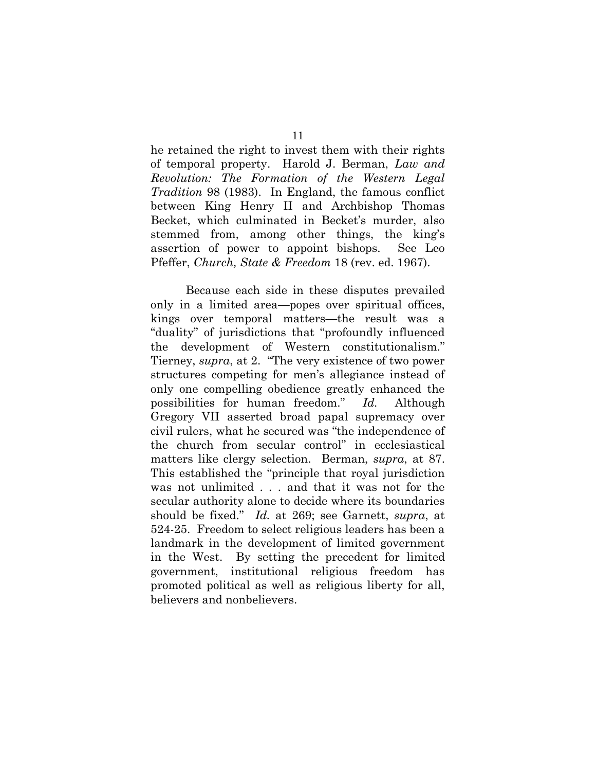he retained the right to invest them with their rights of temporal property. Harold J. Berman, *Law and Revolution: The Formation of the Western Legal Tradition* 98 (1983). In England, the famous conflict between King Henry II and Archbishop Thomas Becket, which culminated in Becket's murder, also stemmed from, among other things, the king's assertion of power to appoint bishops. See Leo Pfeffer, *Church, State & Freedom* 18 (rev. ed. 1967).

Because each side in these disputes prevailed only in a limited area—popes over spiritual offices, kings over temporal matters—the result was a ―duality‖ of jurisdictions that ―profoundly influenced the development of Western constitutionalism." Tierney, *supra*, at 2. "The very existence of two power structures competing for men's allegiance instead of only one compelling obedience greatly enhanced the possibilities for human freedom.‖ *Id.* Although Gregory VII asserted broad papal supremacy over civil rulers, what he secured was "the independence of the church from secular control" in ecclesiastical matters like clergy selection. Berman, *supra*, at 87. This established the "principle that royal jurisdiction was not unlimited . . . and that it was not for the secular authority alone to decide where its boundaries should be fixed.‖ *Id.* at 269; see Garnett, *supra*, at 524-25. Freedom to select religious leaders has been a landmark in the development of limited government in the West. By setting the precedent for limited government, institutional religious freedom has promoted political as well as religious liberty for all, believers and nonbelievers.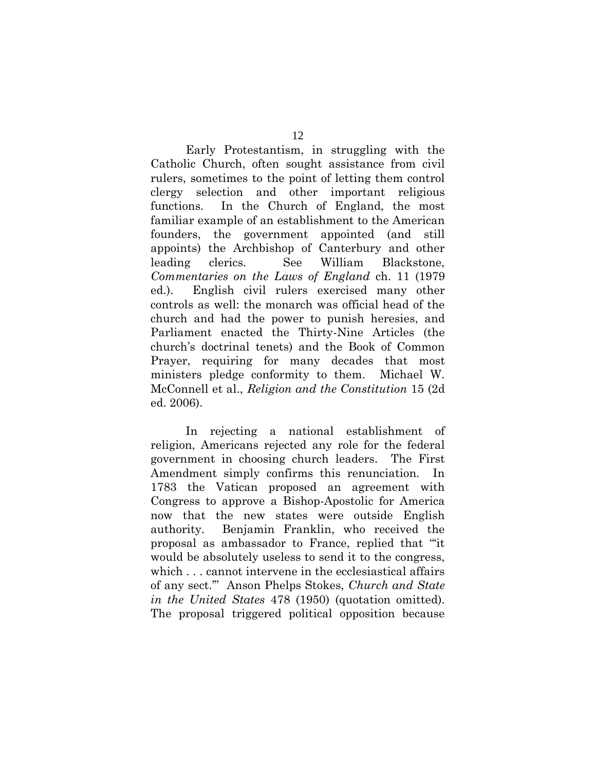Early Protestantism, in struggling with the Catholic Church, often sought assistance from civil rulers, sometimes to the point of letting them control clergy selection and other important religious functions. In the Church of England, the most familiar example of an establishment to the American founders, the government appointed (and still appoints) the Archbishop of Canterbury and other leading clerics. See William Blackstone, *Commentaries on the Laws of England* ch. 11 (1979 ed.). English civil rulers exercised many other controls as well: the monarch was official head of the church and had the power to punish heresies, and Parliament enacted the Thirty-Nine Articles (the church's doctrinal tenets) and the Book of Common Prayer, requiring for many decades that most ministers pledge conformity to them. Michael W. McConnell et al., *Religion and the Constitution* 15 (2d ed. 2006).

In rejecting a national establishment of religion, Americans rejected any role for the federal government in choosing church leaders. The First Amendment simply confirms this renunciation. In 1783 the Vatican proposed an agreement with Congress to approve a Bishop-Apostolic for America now that the new states were outside English authority. Benjamin Franklin, who received the proposal as ambassador to France, replied that ―‗it would be absolutely useless to send it to the congress, which . . . cannot intervene in the ecclesiastical affairs of any sect.'‖ Anson Phelps Stokes, *Church and State in the United States* 478 (1950) (quotation omitted). The proposal triggered political opposition because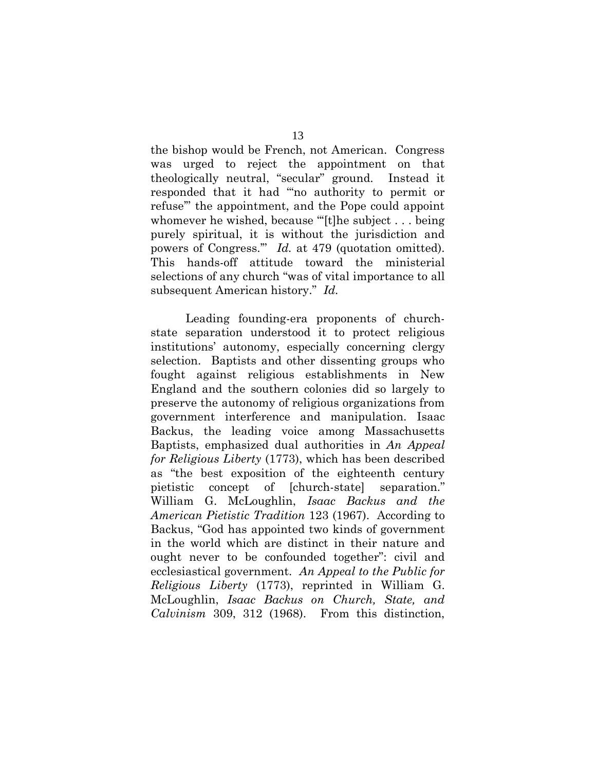the bishop would be French, not American. Congress was urged to reject the appointment on that theologically neutral, "secular" ground. Instead it responded that it had "no authority to permit or refuse" the appointment, and the Pope could appoint whomever he wished, because "[t]he subject  $\dots$  being purely spiritual, it is without the jurisdiction and powers of Congress." *Id.* at 479 (quotation omitted). This hands-off attitude toward the ministerial selections of any church "was of vital importance to all subsequent American history." *Id.* 

Leading founding-era proponents of churchstate separation understood it to protect religious institutions' autonomy, especially concerning clergy selection. Baptists and other dissenting groups who fought against religious establishments in New England and the southern colonies did so largely to preserve the autonomy of religious organizations from government interference and manipulation. Isaac Backus, the leading voice among Massachusetts Baptists, emphasized dual authorities in *An Appeal for Religious Liberty* (1773), which has been described as "the best exposition of the eighteenth century pietistic concept of [church-state] separation." William G. McLoughlin, *Isaac Backus and the American Pietistic Tradition* 123 (1967). According to Backus, "God has appointed two kinds of government in the world which are distinct in their nature and ought never to be confounded together": civil and ecclesiastical government. *An Appeal to the Public for Religious Liberty* (1773), reprinted in William G. McLoughlin, *Isaac Backus on Church, State, and Calvinism* 309, 312 (1968). From this distinction,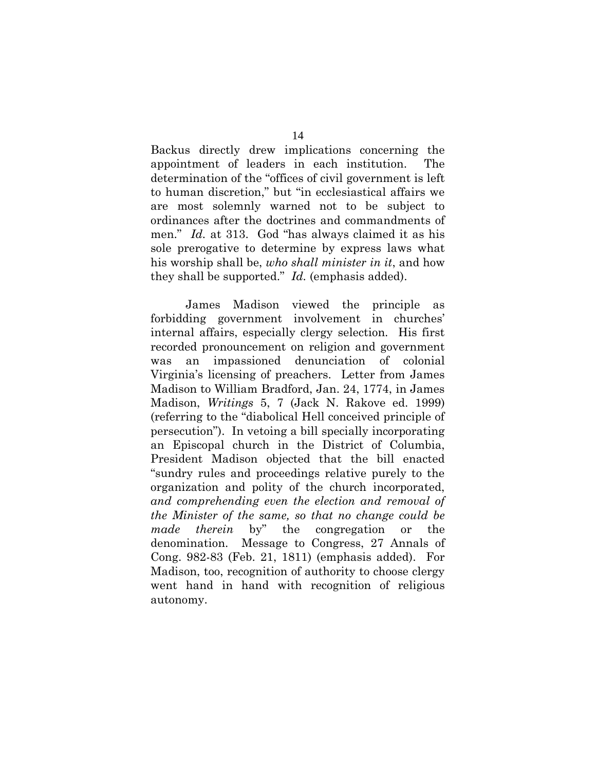Backus directly drew implications concerning the appointment of leaders in each institution. The determination of the "offices of civil government is left to human discretion," but "in ecclesiastical affairs we are most solemnly warned not to be subject to ordinances after the doctrines and commandments of men." *Id.* at 313. God "has always claimed it as his sole prerogative to determine by express laws what his worship shall be, *who shall minister in it*, and how they shall be supported.‖ *Id.* (emphasis added).

James Madison viewed the principle as forbidding government involvement in churches' internal affairs, especially clergy selection. His first recorded pronouncement on religion and government was an impassioned denunciation of colonial Virginia's licensing of preachers. Letter from James Madison to William Bradford, Jan. 24, 1774, in James Madison, *Writings* 5, 7 (Jack N. Rakove ed. 1999) (referring to the "diabolical Hell conceived principle of persecution‖). In vetoing a bill specially incorporating an Episcopal church in the District of Columbia, President Madison objected that the bill enacted ―sundry rules and proceedings relative purely to the organization and polity of the church incorporated, *and comprehending even the election and removal of the Minister of the same, so that no change could be made therein* by" the congregation or the denomination. Message to Congress, 27 Annals of Cong. 982-83 (Feb. 21, 1811) (emphasis added). For Madison, too, recognition of authority to choose clergy went hand in hand with recognition of religious autonomy.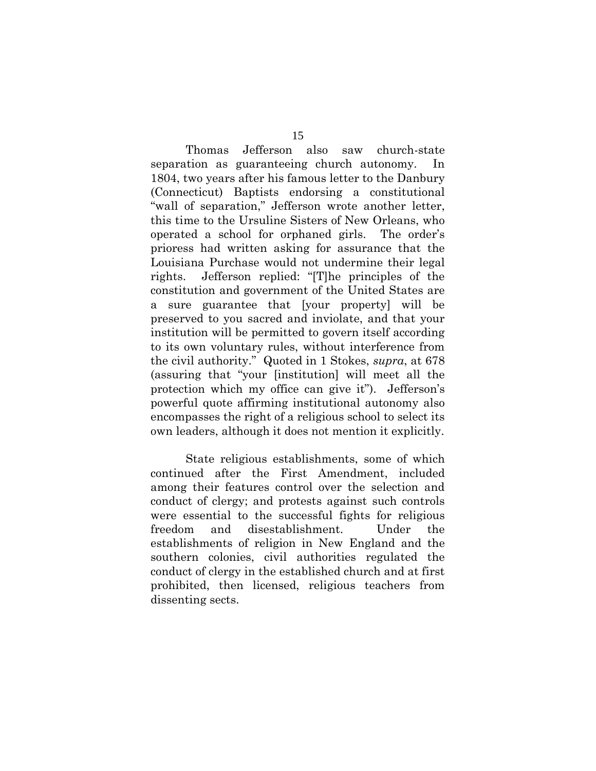Thomas Jefferson also saw church-state separation as guaranteeing church autonomy. In 1804, two years after his famous letter to the Danbury (Connecticut) Baptists endorsing a constitutional "wall of separation," Jefferson wrote another letter, this time to the Ursuline Sisters of New Orleans, who operated a school for orphaned girls. The order's prioress had written asking for assurance that the Louisiana Purchase would not undermine their legal rights. Jefferson replied: "[T]he principles of the constitution and government of the United States are a sure guarantee that [your property] will be preserved to you sacred and inviolate, and that your institution will be permitted to govern itself according to its own voluntary rules, without interference from the civil authority.‖ Quoted in 1 Stokes, *supra*, at 678 (assuring that ―your [institution] will meet all the protection which my office can give it"). Jefferson's powerful quote affirming institutional autonomy also encompasses the right of a religious school to select its own leaders, although it does not mention it explicitly.

State religious establishments, some of which continued after the First Amendment, included among their features control over the selection and conduct of clergy; and protests against such controls were essential to the successful fights for religious freedom and disestablishment. Under the establishments of religion in New England and the southern colonies, civil authorities regulated the conduct of clergy in the established church and at first prohibited, then licensed, religious teachers from dissenting sects.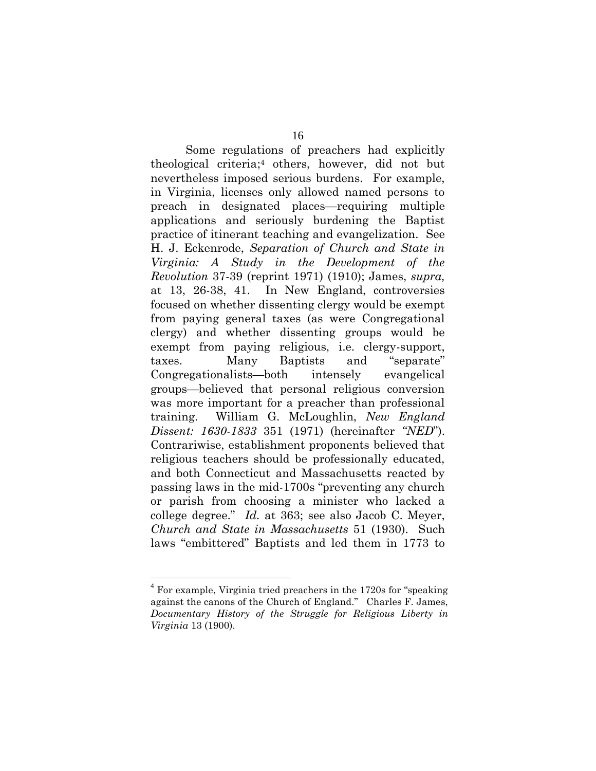Some regulations of preachers had explicitly theological criteria; <sup>4</sup> others, however, did not but nevertheless imposed serious burdens. For example, in Virginia, licenses only allowed named persons to preach in designated places—requiring multiple applications and seriously burdening the Baptist practice of itinerant teaching and evangelization. See H. J. Eckenrode, *Separation of Church and State in Virginia: A Study in the Development of the Revolution* 37-39 (reprint 1971) (1910); James, *supra,*  at 13, 26-38, 41. In New England, controversies focused on whether dissenting clergy would be exempt from paying general taxes (as were Congregational clergy) and whether dissenting groups would be exempt from paying religious, i.e. clergy-support, taxes. Many Baptists and "separate" Congregationalists—both intensely evangelical groups—believed that personal religious conversion was more important for a preacher than professional training. William G. McLoughlin, *New England Dissent: 1630-1833* 351 (1971) (hereinafter *"NED*‖). Contrariwise, establishment proponents believed that religious teachers should be professionally educated, and both Connecticut and Massachusetts reacted by passing laws in the mid-1700s "preventing any church or parish from choosing a minister who lacked a college degree.‖ *Id.* at 363; see also Jacob C. Meyer, *Church and State in Massachusetts* 51 (1930). Such laws "embittered" Baptists and led them in 1773 to

 $\overline{a}$ 

 $4$  For example, Virginia tried preachers in the 1720s for "speaking" against the canons of the Church of England." Charles F. James, *Documentary History of the Struggle for Religious Liberty in Virginia* 13 (1900).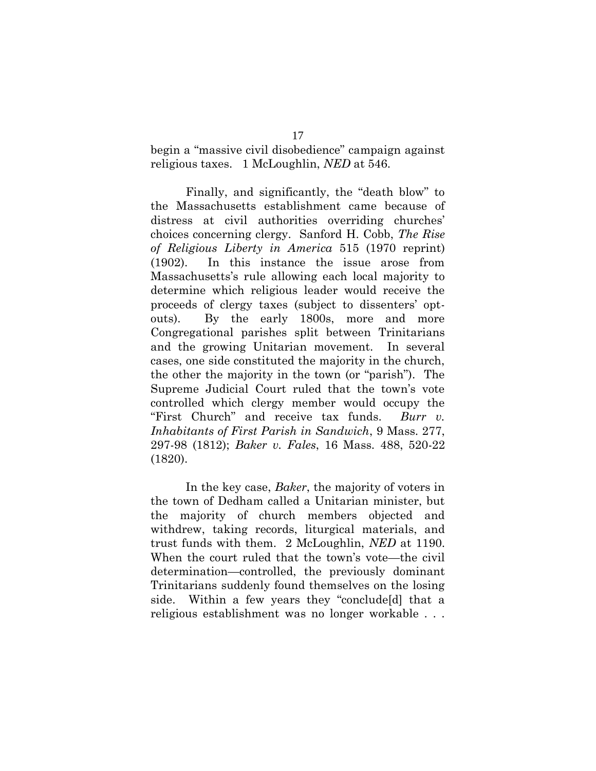begin a "massive civil disobedience" campaign against religious taxes. 1 McLoughlin, *NED* at 546.

Finally, and significantly, the "death blow" to the Massachusetts establishment came because of distress at civil authorities overriding churches' choices concerning clergy. Sanford H. Cobb, *The Rise of Religious Liberty in America* 515 (1970 reprint) (1902). In this instance the issue arose from Massachusetts's rule allowing each local majority to determine which religious leader would receive the proceeds of clergy taxes (subject to dissenters' optouts). By the early 1800s, more and more Congregational parishes split between Trinitarians and the growing Unitarian movement. In several cases, one side constituted the majority in the church, the other the majority in the town (or "parish"). The Supreme Judicial Court ruled that the town's vote controlled which clergy member would occupy the ―First Church‖ and receive tax funds. *Burr v. Inhabitants of First Parish in Sandwich*, 9 Mass. 277, 297-98 (1812); *Baker v. Fales*, 16 Mass. 488, 520-22 (1820).

In the key case, *Baker*, the majority of voters in the town of Dedham called a Unitarian minister, but the majority of church members objected and withdrew, taking records, liturgical materials, and trust funds with them. 2 McLoughlin, *NED* at 1190. When the court ruled that the town's vote—the civil determination—controlled, the previously dominant Trinitarians suddenly found themselves on the losing side. Within a few years they "conclude[d] that a religious establishment was no longer workable . . .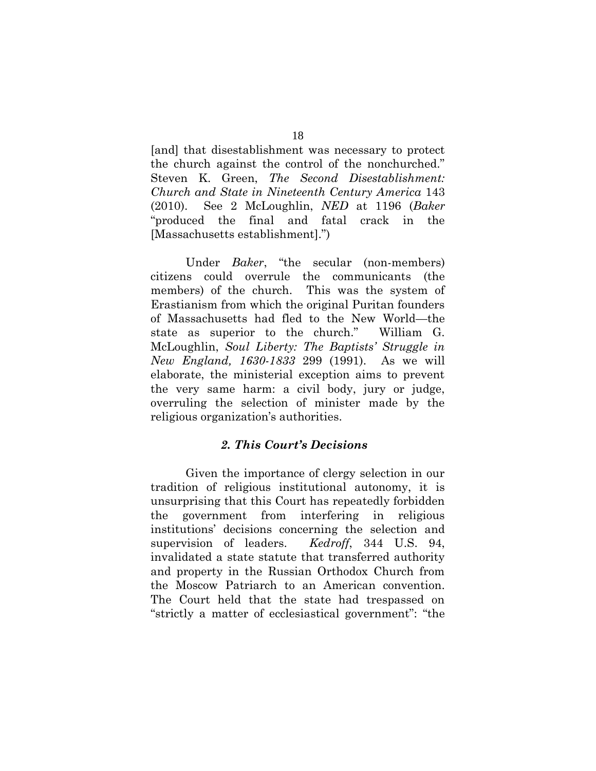[and] that disestablishment was necessary to protect the church against the control of the nonchurched." Steven K. Green, *The Second Disestablishment: Church and State in Nineteenth Century America* 143 (2010). See 2 McLoughlin, *NED* at 1196 (*Baker* "produced the final and fatal crack in the [Massachusetts establishment].")

Under *Baker*, "the secular (non-members) citizens could overrule the communicants (the members) of the church. This was the system of Erastianism from which the original Puritan founders of Massachusetts had fled to the New World—the state as superior to the church." William G. McLoughlin, *Soul Liberty: The Baptists' Struggle in New England, 1630-1833* 299 (1991). As we will elaborate, the ministerial exception aims to prevent the very same harm: a civil body, jury or judge, overruling the selection of minister made by the religious organization's authorities.

### *2. This Court's Decisions*

Given the importance of clergy selection in our tradition of religious institutional autonomy, it is unsurprising that this Court has repeatedly forbidden the government from interfering in religious institutions' decisions concerning the selection and supervision of leaders. *Kedroff*, 344 U.S. 94, invalidated a state statute that transferred authority and property in the Russian Orthodox Church from the Moscow Patriarch to an American convention. The Court held that the state had trespassed on "strictly a matter of ecclesiastical government": "the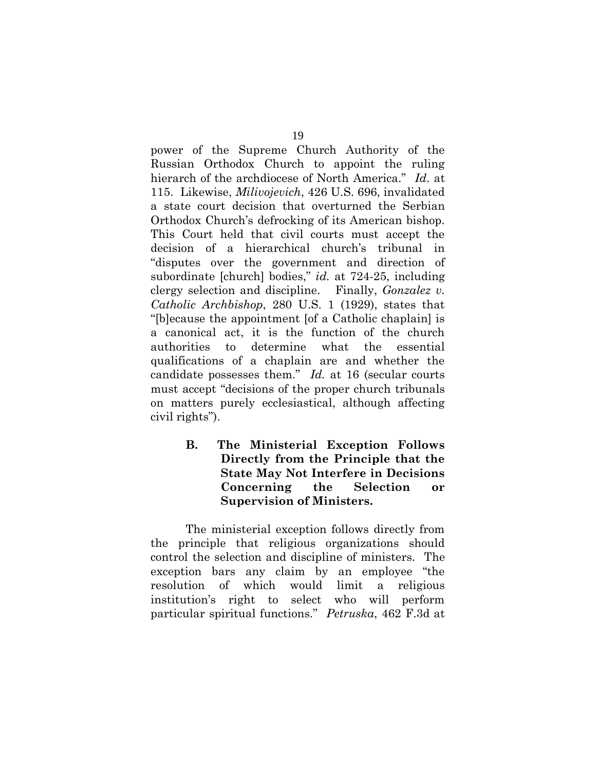power of the Supreme Church Authority of the Russian Orthodox Church to appoint the ruling hierarch of the archdiocese of North America." *Id.* at 115. Likewise, *Milivojevich*, 426 U.S. 696, invalidated a state court decision that overturned the Serbian Orthodox Church's defrocking of its American bishop. This Court held that civil courts must accept the decision of a hierarchical church's tribunal in ―disputes over the government and direction of subordinate [church] bodies," *id.* at 724-25, including clergy selection and discipline. Finally, *Gonzalez v. Catholic Archbishop*, 280 U.S. 1 (1929), states that ―[b]ecause the appointment [of a Catholic chaplain] is a canonical act, it is the function of the church authorities to determine what the essential qualifications of a chaplain are and whether the candidate possesses them." *Id.* at 16 (secular courts must accept "decisions of the proper church tribunals" on matters purely ecclesiastical, although affecting civil rights").

> **B. The Ministerial Exception Follows Directly from the Principle that the State May Not Interfere in Decisions Concerning the Selection or Supervision of Ministers.**

The ministerial exception follows directly from the principle that religious organizations should control the selection and discipline of ministers. The exception bars any claim by an employee "the resolution of which would limit a religious institution's right to select who will perform particular spiritual functions.‖ *Petruska*, 462 F.3d at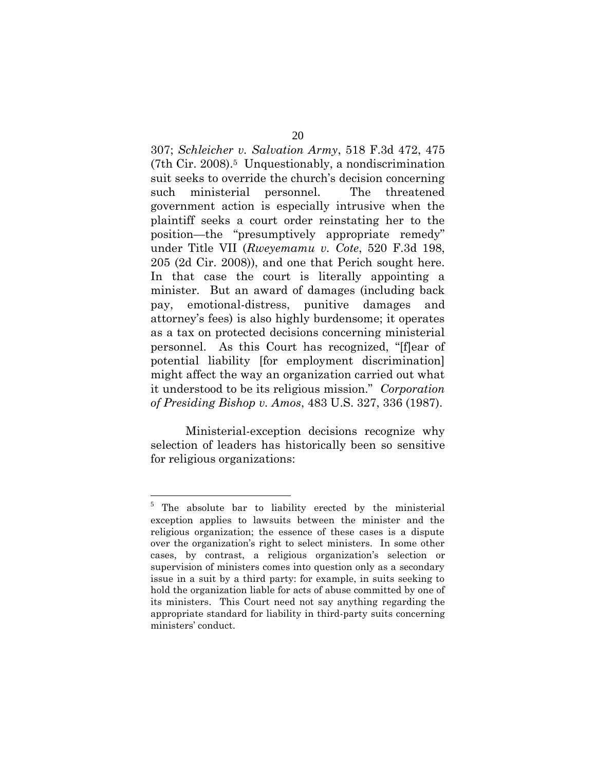307; *Schleicher v. Salvation Army*, 518 F.3d 472, 475 (7th Cir. 2008).5 Unquestionably, a nondiscrimination suit seeks to override the church's decision concerning such ministerial personnel. The threatened government action is especially intrusive when the plaintiff seeks a court order reinstating her to the position—the "presumptively appropriate remedy" under Title VII (*Rweyemamu v. Cote*, 520 F.3d 198, 205 (2d Cir. 2008)), and one that Perich sought here. In that case the court is literally appointing a minister. But an award of damages (including back pay, emotional-distress, punitive damages and attorney's fees) is also highly burdensome; it operates as a tax on protected decisions concerning ministerial personnel. As this Court has recognized, "[f]ear of potential liability [for employment discrimination] might affect the way an organization carried out what it understood to be its religious mission.‖ *Corporation of Presiding Bishop v. Amos*, 483 U.S. 327, 336 (1987).

Ministerial-exception decisions recognize why selection of leaders has historically been so sensitive for religious organizations:

 $\overline{a}$ 

<sup>&</sup>lt;sup>5</sup> The absolute bar to liability erected by the ministerial exception applies to lawsuits between the minister and the religious organization; the essence of these cases is a dispute over the organization's right to select ministers. In some other cases, by contrast, a religious organization's selection or supervision of ministers comes into question only as a secondary issue in a suit by a third party: for example, in suits seeking to hold the organization liable for acts of abuse committed by one of its ministers. This Court need not say anything regarding the appropriate standard for liability in third-party suits concerning ministers' conduct.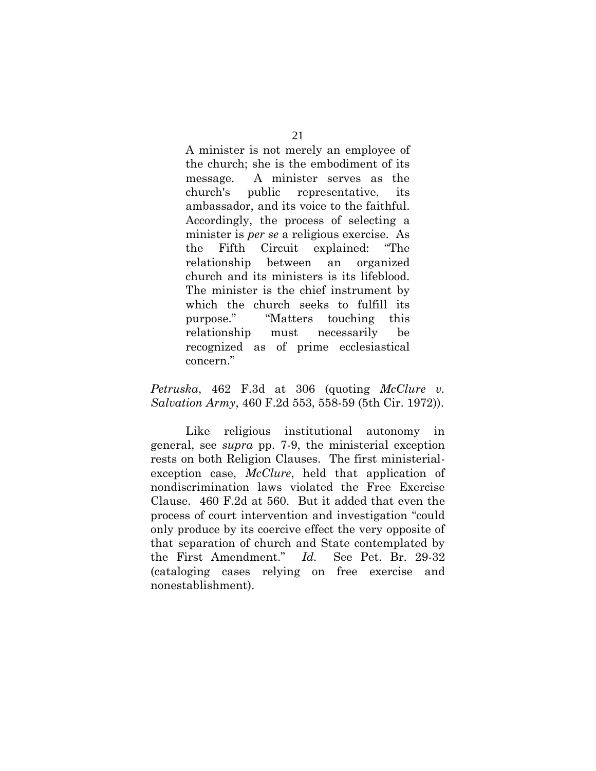A minister is not merely an employee of the church; she is the embodiment of its message. A minister serves as the church's public representative, its ambassador, and its voice to the faithful. Accordingly, the process of selecting a minister is *per se* a religious exercise. As the Fifth Circuit explained: "The relationship between an organized church and its ministers is its lifeblood. The minister is the chief instrument by which the church seeks to fulfill its purpose." 
"Matters touching this relationship must necessarily be recognized as of prime ecclesiastical concern."

*Petruska*, 462 F.3d at 306 (quoting *McClure v. Salvation Army*, 460 F.2d 553, 558-59 (5th Cir. 1972)).

Like religious institutional autonomy in general, see *supra* pp. 7-9, the ministerial exception rests on both Religion Clauses. The first ministerialexception case, *McClure*, held that application of nondiscrimination laws violated the Free Exercise Clause. 460 F.2d at 560. But it added that even the process of court intervention and investigation "could" only produce by its coercive effect the very opposite of that separation of church and State contemplated by the First Amendment.‖ *Id.* See Pet. Br. 29-32 (cataloging cases relying on free exercise and nonestablishment).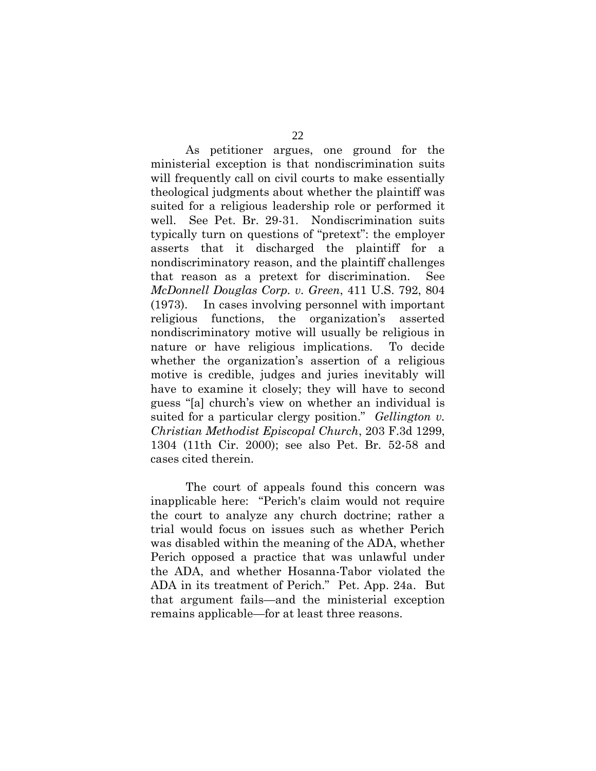As petitioner argues, one ground for the ministerial exception is that nondiscrimination suits will frequently call on civil courts to make essentially theological judgments about whether the plaintiff was suited for a religious leadership role or performed it well. See Pet. Br. 29-31. Nondiscrimination suits typically turn on questions of "pretext": the employer asserts that it discharged the plaintiff for a nondiscriminatory reason, and the plaintiff challenges that reason as a pretext for discrimination. See *McDonnell Douglas Corp. v. Green*, 411 U.S. 792, 804 (1973). In cases involving personnel with important religious functions, the organization's asserted nondiscriminatory motive will usually be religious in nature or have religious implications. To decide whether the organization's assertion of a religious motive is credible, judges and juries inevitably will have to examine it closely; they will have to second guess ―[a] church's view on whether an individual is suited for a particular clergy position." Gellington v. *Christian Methodist Episcopal Church*, 203 F.3d 1299, 1304 (11th Cir. 2000); see also Pet. Br. 52-58 and cases cited therein.

The court of appeals found this concern was inapplicable here: "Perich's claim would not require the court to analyze any church doctrine; rather a trial would focus on issues such as whether Perich was disabled within the meaning of the ADA, whether Perich opposed a practice that was unlawful under the ADA, and whether Hosanna-Tabor violated the ADA in its treatment of Perich.‖ Pet. App. 24a. But that argument fails—and the ministerial exception remains applicable—for at least three reasons.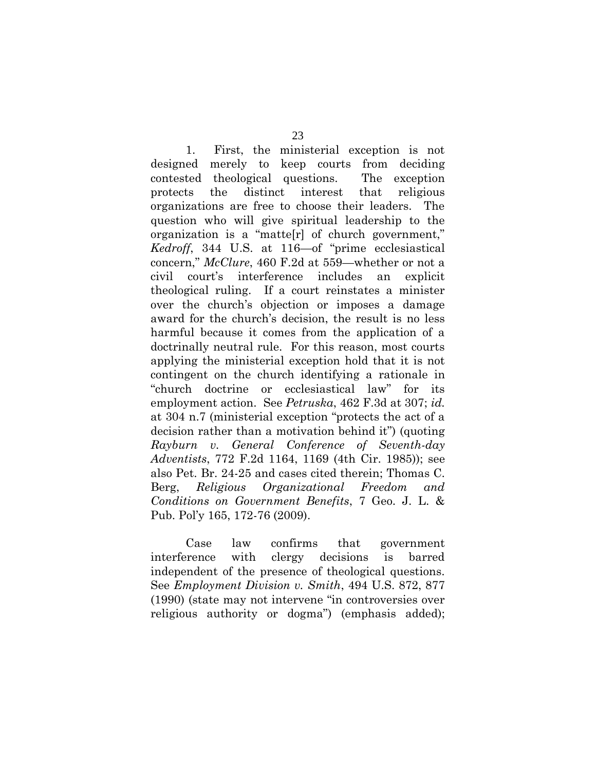1. First, the ministerial exception is not designed merely to keep courts from deciding contested theological questions. The exception protects the distinct interest that religious organizations are free to choose their leaders. The question who will give spiritual leadership to the organization is a "matteler of church government," Kedroff, 344 U.S. at 116-of "prime ecclesiastical concern," *McClure*, 460 F.2d at 559—whether or not a civil court's interference includes an explicit theological ruling. If a court reinstates a minister over the church's objection or imposes a damage award for the church's decision, the result is no less harmful because it comes from the application of a doctrinally neutral rule. For this reason, most courts applying the ministerial exception hold that it is not contingent on the church identifying a rationale in ―church doctrine or ecclesiastical law‖ for its employment action. See *Petruska*, 462 F.3d at 307; *id.* at 304 n.7 (ministerial exception "protects the act of a decision rather than a motivation behind it") (quoting *Rayburn v. General Conference of Seventh-day Adventists*, 772 F.2d 1164, 1169 (4th Cir. 1985)); see also Pet. Br. 24-25 and cases cited therein; Thomas C. Berg, *Religious Organizational Freedom and Conditions on Government Benefits*, 7 Geo. J. L. & Pub. Pol'y 165, 172-76 (2009).

Case law confirms that government interference with clergy decisions is barred independent of the presence of theological questions. See *Employment Division v. Smith*, 494 U.S. 872, 877 (1990) (state may not intervene "in controversies over religious authority or dogma") (emphasis added);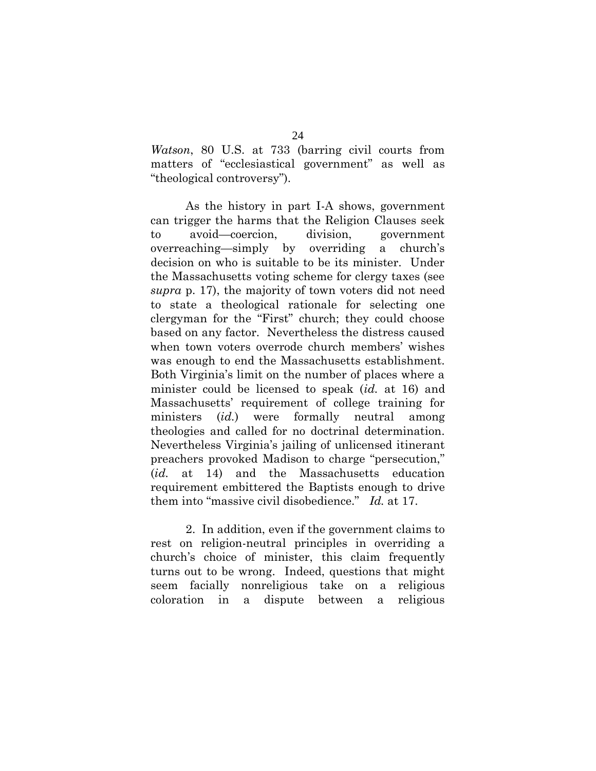*Watson*, 80 U.S. at 733 (barring civil courts from matters of "ecclesiastical government" as well as "theological controversy".

As the history in part I-A shows, government can trigger the harms that the Religion Clauses seek to avoid—coercion, division, government overreaching—simply by overriding a church's decision on who is suitable to be its minister. Under the Massachusetts voting scheme for clergy taxes (see *supra* p. 17), the majority of town voters did not need to state a theological rationale for selecting one clergyman for the "First" church; they could choose based on any factor. Nevertheless the distress caused when town voters overrode church members' wishes was enough to end the Massachusetts establishment. Both Virginia's limit on the number of places where a minister could be licensed to speak (*id.* at 16) and Massachusetts' requirement of college training for ministers (*id.*) were formally neutral among theologies and called for no doctrinal determination. Nevertheless Virginia's jailing of unlicensed itinerant preachers provoked Madison to charge "persecution," (*id.* at 14) and the Massachusetts education requirement embittered the Baptists enough to drive them into "massive civil disobedience." *Id.* at 17.

2. In addition, even if the government claims to rest on religion-neutral principles in overriding a church's choice of minister, this claim frequently turns out to be wrong. Indeed, questions that might seem facially nonreligious take on a religious coloration in a dispute between a religious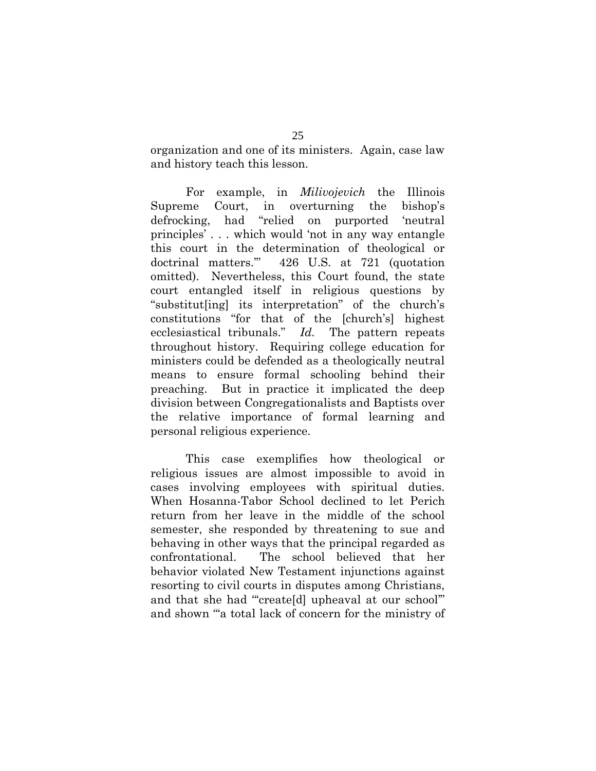organization and one of its ministers. Again, case law and history teach this lesson.

For example, in *Milivojevich* the Illinois Supreme Court, in overturning the bishop's defrocking, had "relied on purported 'neutral principles'... which would 'not in any way entangle this court in the determination of theological or doctrinal matters." 426 U.S. at 721 (quotation omitted). Nevertheless, this Court found, the state court entangled itself in religious questions by ―substitut[ing] its interpretation‖ of the church's constitutions ―for that of the [church's] highest ecclesiastical tribunals." *Id.* The pattern repeats throughout history. Requiring college education for ministers could be defended as a theologically neutral means to ensure formal schooling behind their preaching. But in practice it implicated the deep division between Congregationalists and Baptists over the relative importance of formal learning and personal religious experience.

This case exemplifies how theological or religious issues are almost impossible to avoid in cases involving employees with spiritual duties. When Hosanna-Tabor School declined to let Perich return from her leave in the middle of the school semester, she responded by threatening to sue and behaving in other ways that the principal regarded as confrontational. The school believed that her behavior violated New Testament injunctions against resorting to civil courts in disputes among Christians, and that she had "create[d] upheaval at our school" and shown "a total lack of concern for the ministry of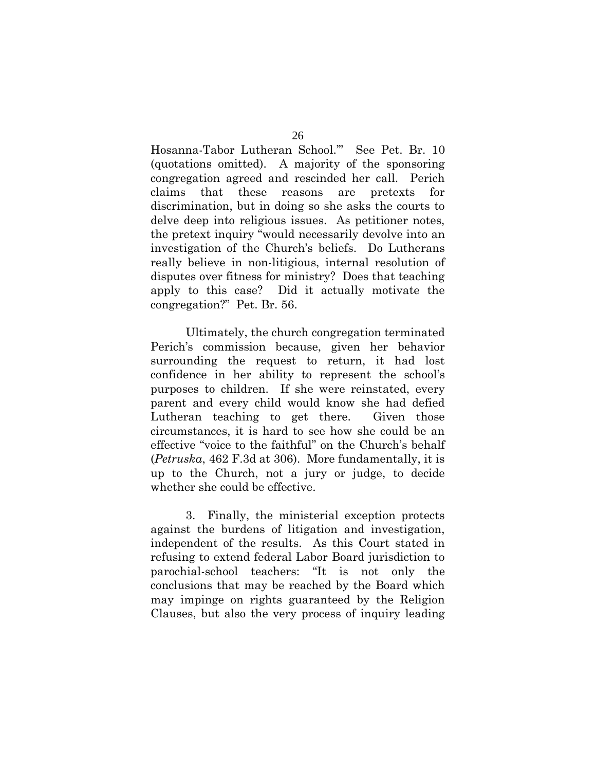Hosanna-Tabor Lutheran School." See Pet. Br. 10 (quotations omitted). A majority of the sponsoring congregation agreed and rescinded her call. Perich claims that these reasons are pretexts for discrimination, but in doing so she asks the courts to delve deep into religious issues. As petitioner notes, the pretext inquiry "would necessarily devolve into an investigation of the Church's beliefs. Do Lutherans really believe in non-litigious, internal resolution of disputes over fitness for ministry? Does that teaching apply to this case? Did it actually motivate the congregation?‖ Pet. Br. 56.

Ultimately, the church congregation terminated Perich's commission because, given her behavior surrounding the request to return, it had lost confidence in her ability to represent the school's purposes to children. If she were reinstated, every parent and every child would know she had defied Lutheran teaching to get there. Given those circumstances, it is hard to see how she could be an effective "voice to the faithful" on the Church's behalf (*Petruska*, 462 F.3d at 306). More fundamentally, it is up to the Church, not a jury or judge, to decide whether she could be effective.

3. Finally, the ministerial exception protects against the burdens of litigation and investigation, independent of the results. As this Court stated in refusing to extend federal Labor Board jurisdiction to parochial-school teachers: "It is not only the conclusions that may be reached by the Board which may impinge on rights guaranteed by the Religion Clauses, but also the very process of inquiry leading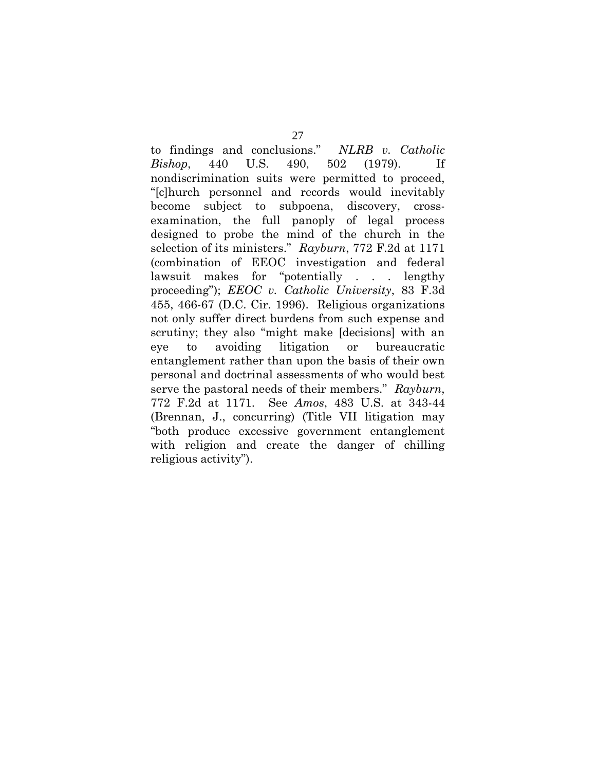to findings and conclusions.‖ *NLRB v. Catholic Bishop*, 440 U.S. 490, 502 (1979). If nondiscrimination suits were permitted to proceed, ―[c]hurch personnel and records would inevitably become subject to subpoena, discovery, crossexamination, the full panoply of legal process designed to probe the mind of the church in the selection of its ministers.‖ *Rayburn*, 772 F.2d at 1171 (combination of EEOC investigation and federal lawsuit makes for "potentially . . . lengthy proceeding‖); *EEOC v. Catholic University*, 83 F.3d 455, 466-67 (D.C. Cir. 1996). Religious organizations not only suffer direct burdens from such expense and scrutiny; they also "might make [decisions] with an eye to avoiding litigation or bureaucratic entanglement rather than upon the basis of their own personal and doctrinal assessments of who would best serve the pastoral needs of their members." Rayburn, 772 F.2d at 1171. See *Amos*, 483 U.S. at 343-44 (Brennan, J., concurring) (Title VII litigation may ―both produce excessive government entanglement with religion and create the danger of chilling religious activity".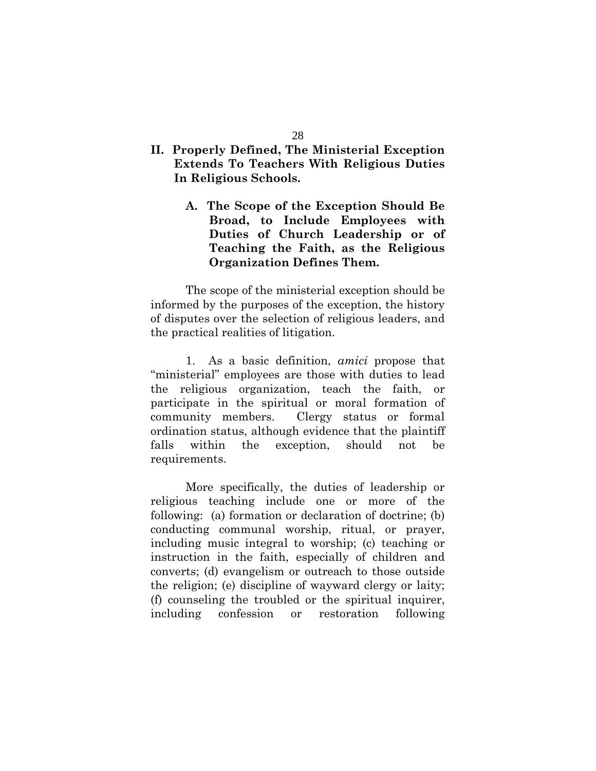## **II. Properly Defined, The Ministerial Exception Extends To Teachers With Religious Duties In Religious Schools.**

**A. The Scope of the Exception Should Be Broad, to Include Employees with Duties of Church Leadership or of Teaching the Faith, as the Religious Organization Defines Them.**

The scope of the ministerial exception should be informed by the purposes of the exception, the history of disputes over the selection of religious leaders, and the practical realities of litigation.

1. As a basic definition, *amici* propose that "ministerial" employees are those with duties to lead the religious organization, teach the faith, or participate in the spiritual or moral formation of community members. Clergy status or formal ordination status, although evidence that the plaintiff falls within the exception, should not be requirements.

More specifically, the duties of leadership or religious teaching include one or more of the following: (a) formation or declaration of doctrine; (b) conducting communal worship, ritual, or prayer, including music integral to worship; (c) teaching or instruction in the faith, especially of children and converts; (d) evangelism or outreach to those outside the religion; (e) discipline of wayward clergy or laity; (f) counseling the troubled or the spiritual inquirer, including confession or restoration following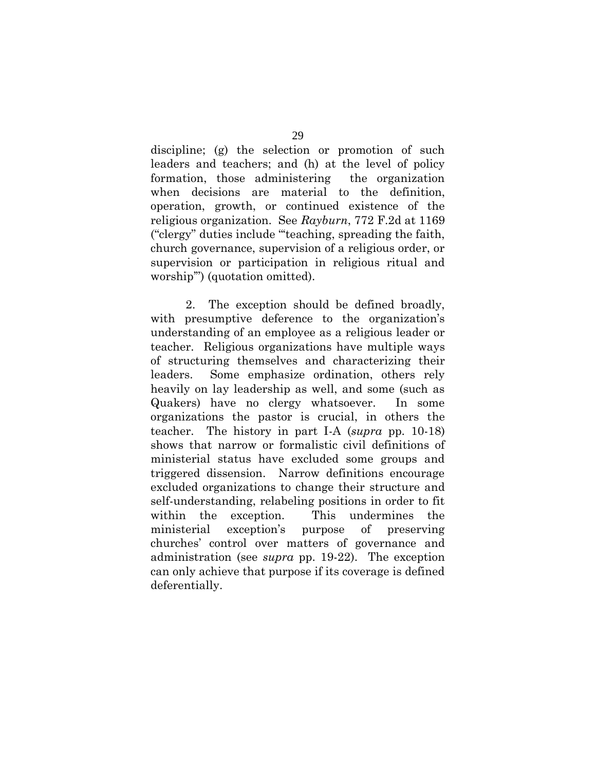discipline; (g) the selection or promotion of such leaders and teachers; and (h) at the level of policy formation, those administering the organization when decisions are material to the definition, operation, growth, or continued existence of the religious organization. See *Rayburn*, 772 F.2d at 1169 ("clergy" duties include ""teaching, spreading the faith, church governance, supervision of a religious order, or supervision or participation in religious ritual and worship") (quotation omitted).

2. The exception should be defined broadly, with presumptive deference to the organization's understanding of an employee as a religious leader or teacher. Religious organizations have multiple ways of structuring themselves and characterizing their leaders. Some emphasize ordination, others rely heavily on lay leadership as well, and some (such as Quakers) have no clergy whatsoever. In some organizations the pastor is crucial, in others the teacher. The history in part I-A (*supra* pp. 10-18) shows that narrow or formalistic civil definitions of ministerial status have excluded some groups and triggered dissension. Narrow definitions encourage excluded organizations to change their structure and self-understanding, relabeling positions in order to fit within the exception. This undermines the ministerial exception's purpose of preserving churches' control over matters of governance and administration (see *supra* pp. 19-22). The exception can only achieve that purpose if its coverage is defined deferentially.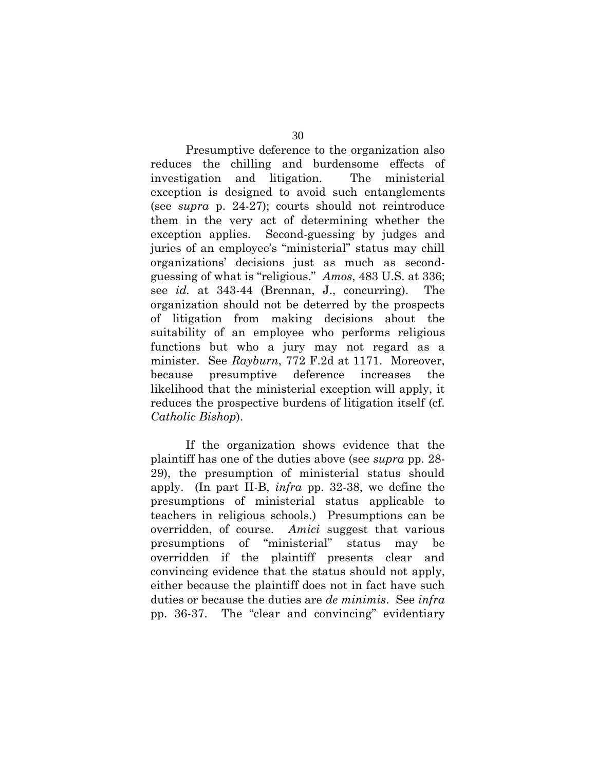Presumptive deference to the organization also reduces the chilling and burdensome effects of investigation and litigation. The ministerial exception is designed to avoid such entanglements (see *supra* p. 24-27); courts should not reintroduce them in the very act of determining whether the exception applies. Second-guessing by judges and juries of an employee's "ministerial" status may chill organizations' decisions just as much as secondguessing of what is "religious." *Amos*, 483 U.S. at 336; see *id.* at 343-44 (Brennan, J., concurring). The organization should not be deterred by the prospects of litigation from making decisions about the suitability of an employee who performs religious functions but who a jury may not regard as a minister. See *Rayburn*, 772 F.2d at 1171. Moreover, because presumptive deference increases the likelihood that the ministerial exception will apply, it reduces the prospective burdens of litigation itself (cf. *Catholic Bishop*).

If the organization shows evidence that the plaintiff has one of the duties above (see *supra* pp. 28- 29), the presumption of ministerial status should apply. (In part II-B, *infra* pp. 32-38, we define the presumptions of ministerial status applicable to teachers in religious schools.) Presumptions can be overridden, of course. *Amici* suggest that various presumptions of "ministerial" status may be overridden if the plaintiff presents clear and convincing evidence that the status should not apply, either because the plaintiff does not in fact have such duties or because the duties are *de minimis*. See *infra* pp. 36-37. The "clear and convincing" evidentiary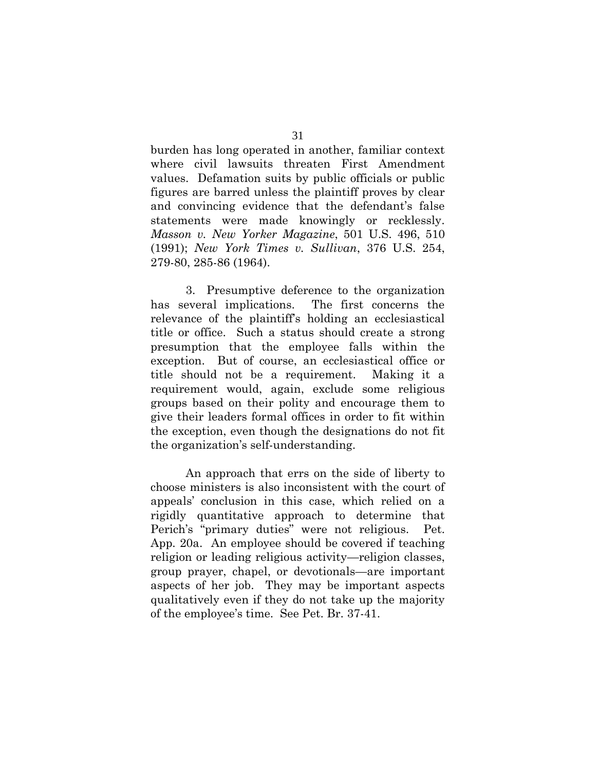burden has long operated in another, familiar context where civil lawsuits threaten First Amendment values. Defamation suits by public officials or public figures are barred unless the plaintiff proves by clear and convincing evidence that the defendant's false statements were made knowingly or recklessly. *Masson v. New Yorker Magazine*, 501 U.S. 496, 510 (1991); *New York Times v. Sullivan*, 376 U.S. 254, 279-80, 285-86 (1964).

3. Presumptive deference to the organization has several implications. The first concerns the relevance of the plaintiff's holding an ecclesiastical title or office. Such a status should create a strong presumption that the employee falls within the exception. But of course, an ecclesiastical office or title should not be a requirement. Making it a requirement would, again, exclude some religious groups based on their polity and encourage them to give their leaders formal offices in order to fit within the exception, even though the designations do not fit the organization's self-understanding.

An approach that errs on the side of liberty to choose ministers is also inconsistent with the court of appeals' conclusion in this case, which relied on a rigidly quantitative approach to determine that Perich's "primary duties" were not religious. Pet. App. 20a. An employee should be covered if teaching religion or leading religious activity—religion classes, group prayer, chapel, or devotionals—are important aspects of her job. They may be important aspects qualitatively even if they do not take up the majority of the employee's time. See Pet. Br. 37-41.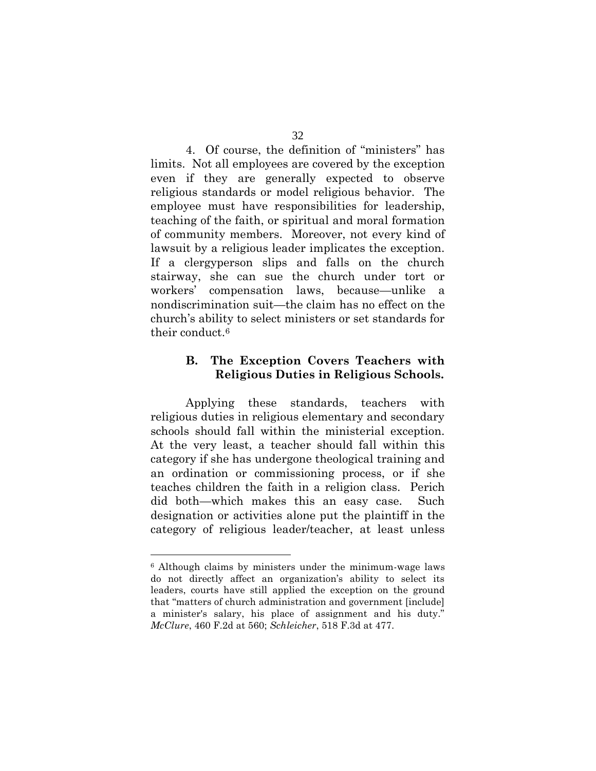4. Of course, the definition of "ministers" has limits. Not all employees are covered by the exception even if they are generally expected to observe religious standards or model religious behavior. The employee must have responsibilities for leadership, teaching of the faith, or spiritual and moral formation of community members. Moreover, not every kind of lawsuit by a religious leader implicates the exception. If a clergyperson slips and falls on the church stairway, she can sue the church under tort or workers' compensation laws, because—unlike a nondiscrimination suit—the claim has no effect on the church's ability to select ministers or set standards for their conduct.<sup>6</sup>

## **B. The Exception Covers Teachers with Religious Duties in Religious Schools.**

Applying these standards, teachers with religious duties in religious elementary and secondary schools should fall within the ministerial exception. At the very least, a teacher should fall within this category if she has undergone theological training and an ordination or commissioning process, or if she teaches children the faith in a religion class. Perich did both—which makes this an easy case. Such designation or activities alone put the plaintiff in the category of religious leader/teacher, at least unless

 $\overline{a}$ 

<sup>6</sup> Although claims by ministers under the minimum-wage laws do not directly affect an organization's ability to select its leaders, courts have still applied the exception on the ground that "matters of church administration and government [include] a minister's salary, his place of assignment and his duty." *McClure*, 460 F.2d at 560; *Schleicher*, 518 F.3d at 477.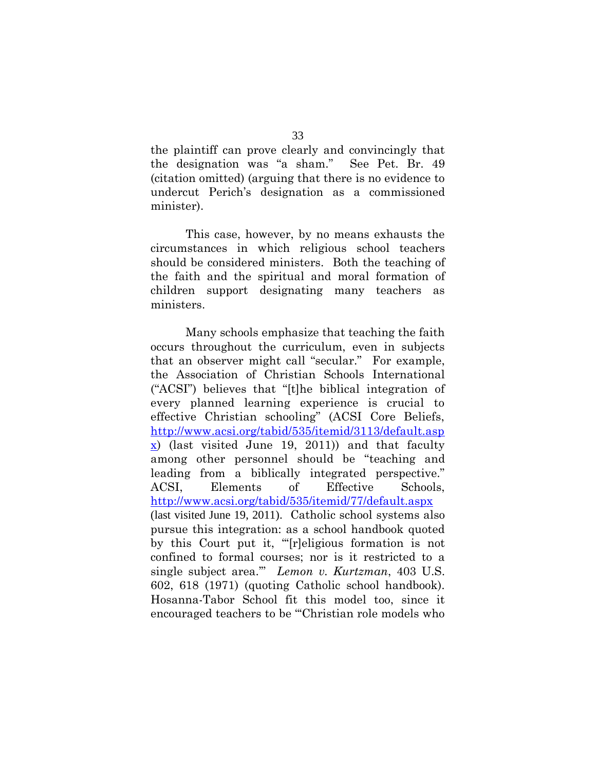the plaintiff can prove clearly and convincingly that the designation was "a sham." See Pet. Br. 49 (citation omitted) (arguing that there is no evidence to undercut Perich's designation as a commissioned minister).

This case, however, by no means exhausts the circumstances in which religious school teachers should be considered ministers. Both the teaching of the faith and the spiritual and moral formation of children support designating many teachers as ministers.

Many schools emphasize that teaching the faith occurs throughout the curriculum, even in subjects that an observer might call "secular." For example, the Association of Christian Schools International (―ACSI‖) believes that ―[t]he biblical integration of every planned learning experience is crucial to effective Christian schooling" (ACSI Core Beliefs, [http://www.acsi.org/tabid/535/itemid/3113/default.asp](http://www.acsi.org/tabid/535/itemid/3113/default.aspx)  $\mathbf{x}$ ) (last visited June 19, 2011)) and that faculty among other personnel should be "teaching and leading from a biblically integrated perspective." ACSI, Elements of Effective Schools, <http://www.acsi.org/tabid/535/itemid/77/default.aspx> (last visited June 19, 2011). Catholic school systems also pursue this integration: as a school handbook quoted by this Court put it, "[r]eligious formation is not confined to formal courses; nor is it restricted to a single subject area." *Lemon v. Kurtzman*, 403 U.S. 602, 618 (1971) (quoting Catholic school handbook). Hosanna-Tabor School fit this model too, since it encouraged teachers to be "Christian role models who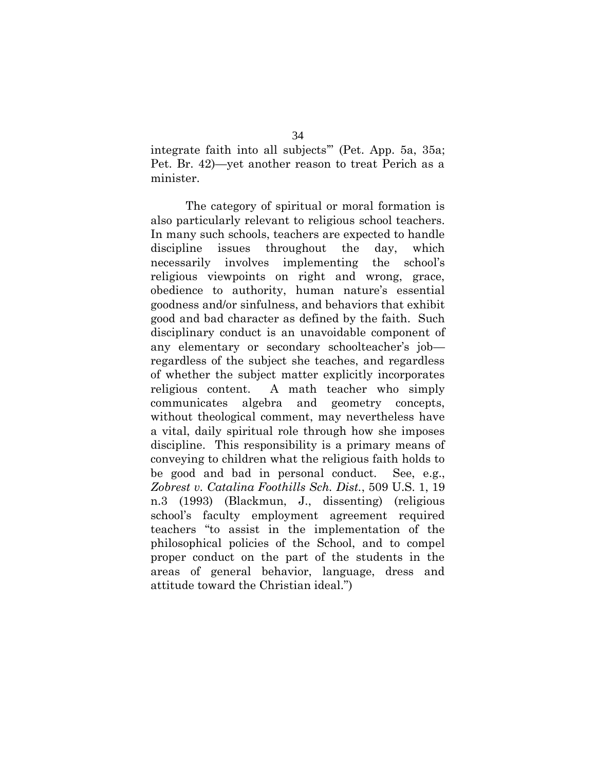integrate faith into all subjects" (Pet. App. 5a, 35a; Pet. Br. 42)—yet another reason to treat Perich as a minister.

The category of spiritual or moral formation is also particularly relevant to religious school teachers. In many such schools, teachers are expected to handle discipline issues throughout the day, which necessarily involves implementing the school's religious viewpoints on right and wrong, grace, obedience to authority, human nature's essential goodness and/or sinfulness, and behaviors that exhibit good and bad character as defined by the faith. Such disciplinary conduct is an unavoidable component of any elementary or secondary schoolteacher's job regardless of the subject she teaches, and regardless of whether the subject matter explicitly incorporates religious content. A math teacher who simply communicates algebra and geometry concepts, without theological comment, may nevertheless have a vital, daily spiritual role through how she imposes discipline. This responsibility is a primary means of conveying to children what the religious faith holds to be good and bad in personal conduct. See, e.g., *Zobrest v. Catalina Foothills Sch. Dist.*, 509 U.S. 1, 19 n.3 (1993) (Blackmun, J., dissenting) (religious school's faculty employment agreement required teachers "to assist in the implementation of the philosophical policies of the School, and to compel proper conduct on the part of the students in the areas of general behavior, language, dress and attitude toward the Christian ideal.‖)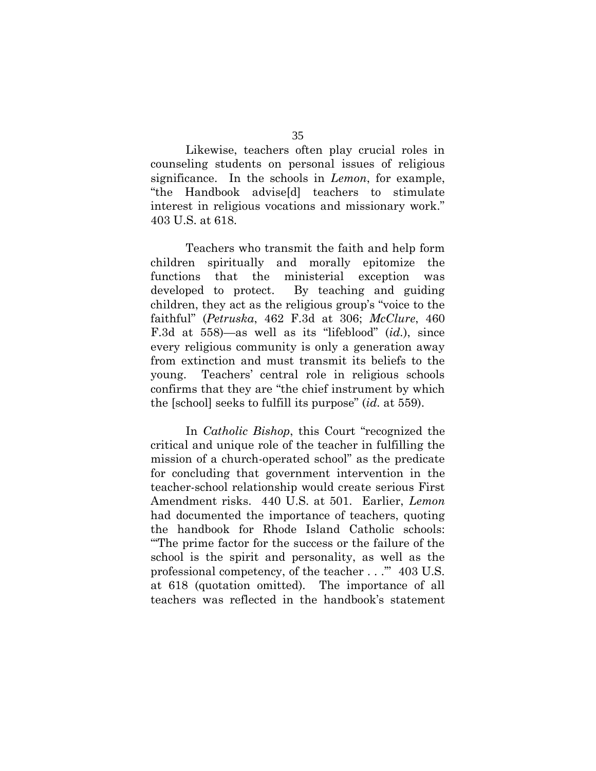Likewise, teachers often play crucial roles in counseling students on personal issues of religious significance. In the schools in *Lemon*, for example, ―the Handbook advise[d] teachers to stimulate interest in religious vocations and missionary work." 403 U.S. at 618.

Teachers who transmit the faith and help form children spiritually and morally epitomize the functions that the ministerial exception was developed to protect. By teaching and guiding children, they act as the religious group's "voice to the faithful‖ (*Petruska*, 462 F.3d at 306; *McClure*, 460 F.3d at 558)—as well as its "lifeblood" (*id.*), since every religious community is only a generation away from extinction and must transmit its beliefs to the young. Teachers' central role in religious schools confirms that they are "the chief instrument by which the [school] seeks to fulfill its purpose" *(id.* at 559).

In *Catholic Bishop*, this Court "recognized the critical and unique role of the teacher in fulfilling the mission of a church-operated school" as the predicate for concluding that government intervention in the teacher-school relationship would create serious First Amendment risks. 440 U.S. at 501. Earlier, *Lemon* had documented the importance of teachers, quoting the handbook for Rhode Island Catholic schools: ―‗The prime factor for the success or the failure of the school is the spirit and personality, as well as the professional competency, of the teacher . . .'" 403 U.S. at 618 (quotation omitted). The importance of all teachers was reflected in the handbook's statement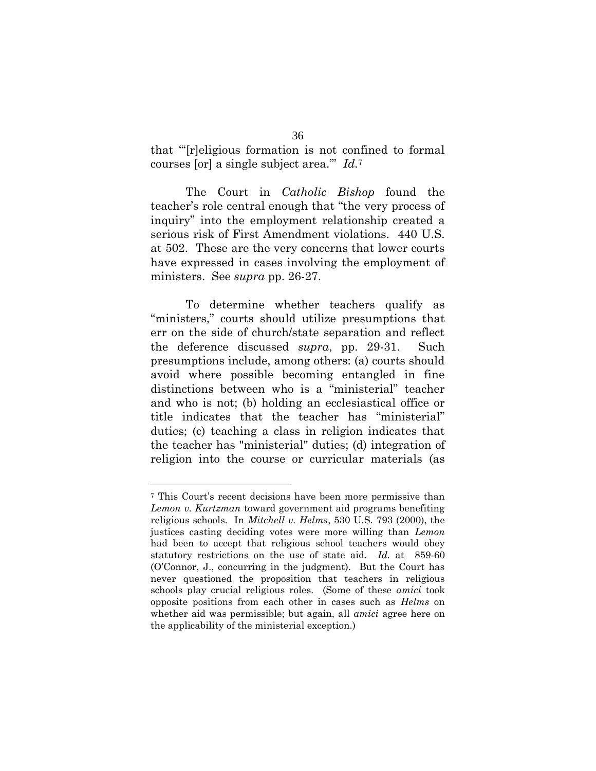that "Treligious formation is not confined to formal courses [or] a single subject area.'‖ *Id.*<sup>7</sup>

The Court in *Catholic Bishop* found the teacher's role central enough that "the very process of inquiry‖ into the employment relationship created a serious risk of First Amendment violations. 440 U.S. at 502. These are the very concerns that lower courts have expressed in cases involving the employment of ministers. See *supra* pp. 26-27.

To determine whether teachers qualify as "ministers," courts should utilize presumptions that err on the side of church/state separation and reflect the deference discussed *supra*, pp. 29-31. Such presumptions include, among others: (a) courts should avoid where possible becoming entangled in fine distinctions between who is a "ministerial" teacher and who is not; (b) holding an ecclesiastical office or title indicates that the teacher has "ministerial" duties; (c) teaching a class in religion indicates that the teacher has "ministerial" duties; (d) integration of religion into the course or curricular materials (as

 $\overline{a}$ 

<sup>7</sup> This Court's recent decisions have been more permissive than *Lemon v. Kurtzman* toward government aid programs benefiting religious schools. In *Mitchell v. Helms*, 530 U.S. 793 (2000), the justices casting deciding votes were more willing than *Lemon* had been to accept that religious school teachers would obey statutory restrictions on the use of state aid. *Id.* at 859-60 (O'Connor, J., concurring in the judgment). But the Court has never questioned the proposition that teachers in religious schools play crucial religious roles. (Some of these *amici* took opposite positions from each other in cases such as *Helms* on whether aid was permissible; but again, all *amici* agree here on the applicability of the ministerial exception.)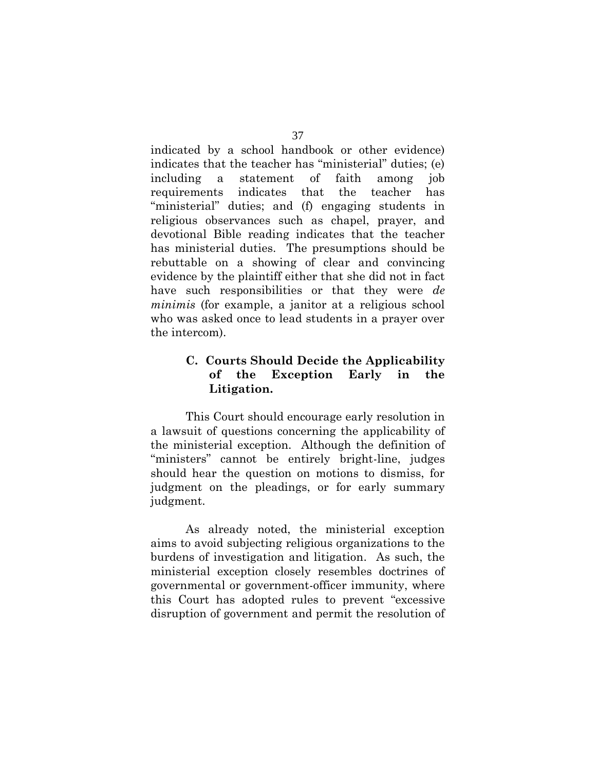indicated by a school handbook or other evidence) indicates that the teacher has "ministerial" duties; (e) including a statement of faith among job requirements indicates that the teacher has ―ministerial‖ duties; and (f) engaging students in religious observances such as chapel, prayer, and devotional Bible reading indicates that the teacher has ministerial duties. The presumptions should be rebuttable on a showing of clear and convincing evidence by the plaintiff either that she did not in fact have such responsibilities or that they were *de minimis* (for example, a janitor at a religious school who was asked once to lead students in a prayer over the intercom).

## **C. Courts Should Decide the Applicability of the Exception Early in the Litigation.**

This Court should encourage early resolution in a lawsuit of questions concerning the applicability of the ministerial exception. Although the definition of "ministers" cannot be entirely bright-line, judges should hear the question on motions to dismiss, for judgment on the pleadings, or for early summary judgment.

As already noted, the ministerial exception aims to avoid subjecting religious organizations to the burdens of investigation and litigation. As such, the ministerial exception closely resembles doctrines of governmental or government-officer immunity, where this Court has adopted rules to prevent "excessive" disruption of government and permit the resolution of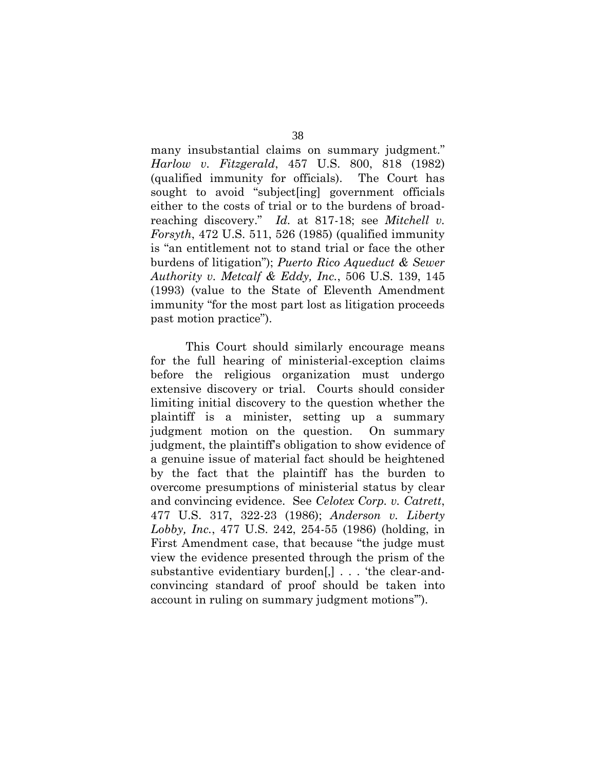many insubstantial claims on summary judgment." *Harlow v. Fitzgerald*, 457 U.S. 800, 818 (1982) (qualified immunity for officials). The Court has sought to avoid "subject[ing] government officials either to the costs of trial or to the burdens of broadreaching discovery." *Id.* at 817-18; see *Mitchell v. Forsyth*, 472 U.S. 511, 526 (1985) (qualified immunity is "an entitlement not to stand trial or face the other burdens of litigation‖); *Puerto Rico Aqueduct & Sewer Authority v. Metcalf & Eddy, Inc.*, 506 U.S. 139, 145 (1993) (value to the State of Eleventh Amendment immunity "for the most part lost as litigation proceeds" past motion practice").

This Court should similarly encourage means for the full hearing of ministerial-exception claims before the religious organization must undergo extensive discovery or trial. Courts should consider limiting initial discovery to the question whether the plaintiff is a minister, setting up a summary judgment motion on the question. On summary judgment, the plaintiff's obligation to show evidence of a genuine issue of material fact should be heightened by the fact that the plaintiff has the burden to overcome presumptions of ministerial status by clear and convincing evidence. See *Celotex Corp. v. Catrett*, 477 U.S. 317, 322-23 (1986); *Anderson v. Liberty Lobby, Inc.*, 477 U.S. 242, 254-55 (1986) (holding, in First Amendment case, that because "the judge must" view the evidence presented through the prism of the substantive evidentiary burden[,]... 'the clear-andconvincing standard of proof should be taken into account in ruling on summary judgment motions").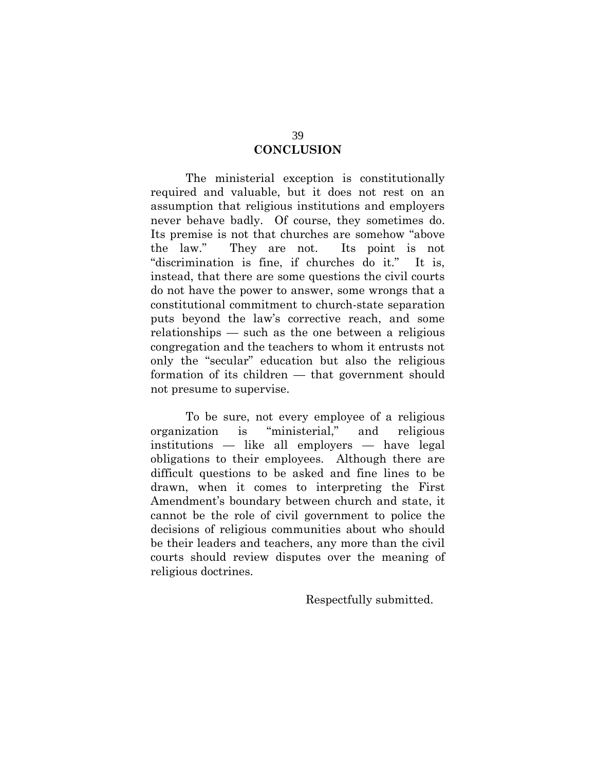# **CONCLUSION**

The ministerial exception is constitutionally required and valuable, but it does not rest on an assumption that religious institutions and employers never behave badly. Of course, they sometimes do. Its premise is not that churches are somehow "above" the law.‖ They are not. Its point is not "discrimination is fine, if churches do it." It is, instead, that there are some questions the civil courts do not have the power to answer, some wrongs that a constitutional commitment to church-state separation puts beyond the law's corrective reach, and some relationships — such as the one between a religious congregation and the teachers to whom it entrusts not only the "secular" education but also the religious formation of its children — that government should not presume to supervise.

To be sure, not every employee of a religious organization is "ministerial," and religious institutions — like all employers — have legal obligations to their employees. Although there are difficult questions to be asked and fine lines to be drawn, when it comes to interpreting the First Amendment's boundary between church and state, it cannot be the role of civil government to police the decisions of religious communities about who should be their leaders and teachers, any more than the civil courts should review disputes over the meaning of religious doctrines.

Respectfully submitted.